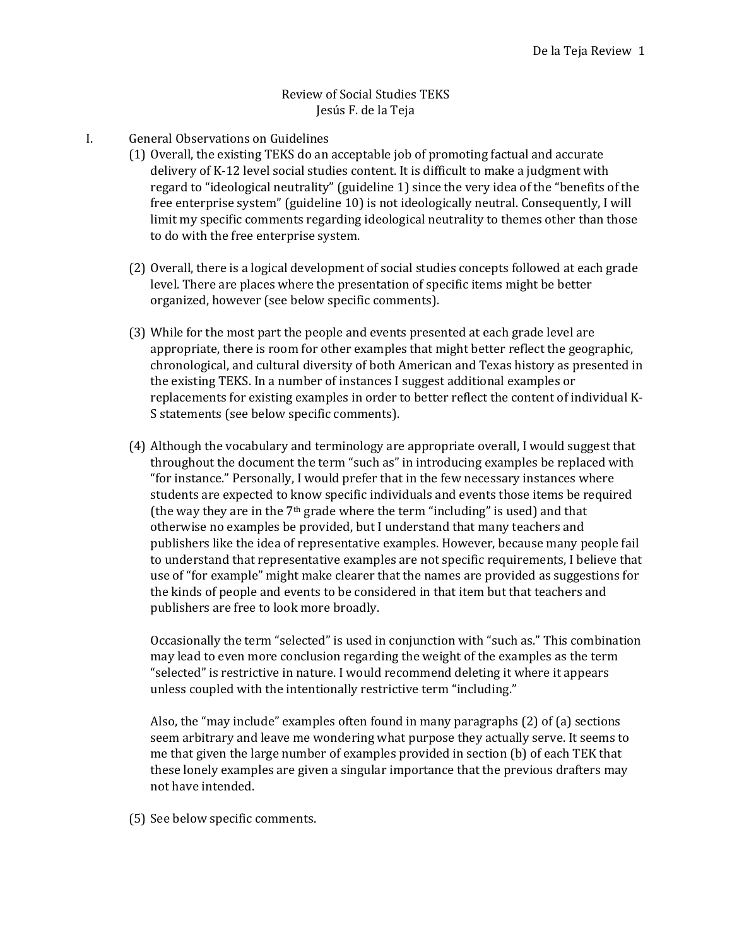## Review of Social Studies TEKS Jesús F. de la Teja

- I. General Observations on Guidelines
	- (1) Overall, the existing TEKS do an acceptable job of promoting factual and accurate delivery of K‐12 level social studies content. It is difficult to make a judgment with regard to "ideological neutrality" (guideline 1) since the very idea of the "benefits of the free enterprise system" (guideline 10) is not ideologically neutral. Consequently, I will limit my specific comments regarding ideological neutrality to themes other than those to do with the free enterprise system.
	- (2) Overall, there is a logical development of social studies concepts followed at each grade level. There are places where the presentation of specific items might be better organized, however (see below specific comments).
	- (3) While for the most part the people and events presented at each grade level are appropriate, there is room for other examples that might better reflect the geographic, chronological, and cultural diversity of both American and Texas history as presented in the existing TEKS. In a number of instances I suggest additional examples or replacements for existing examples in order to better reflect the content of individual K‐ S statements (see below specific comments).
	- (4) Although the vocabulary and terminology are appropriate overall, I would suggest that throughout the document the term "such as" in introducing examples be replaced with "for instance." Personally, I would prefer that in the few necessary instances where students are expected to know specific individuals and events those items be required (the way they are in the  $7<sup>th</sup>$  grade where the term "including" is used) and that otherwise no examples be provided, but I understand that many teachers and publishers like the idea of representative examples. However, because many people fail to understand that representative examples are not specific requirements, I believe that use of "for example" might make clearer that the names are provided as suggestions for the kinds of people and events to be considered in that item but that teachers and publishers are free to look more broadly.

Occasionally the term "selected" is used in conjunction with "such as." This combination may lead to even more conclusion regarding the weight of the examples as the term "selected" is restrictive in nature. I would recommend deleting it where it appears unless coupled with the intentionally restrictive term "including."

Also, the "may include" examples often found in many paragraphs (2) of (a) sections seem arbitrary and leave me wondering what purpose they actually serve. It seems to me that given the large number of examples provided in section (b) of each TEK that these lonely examples are given a singular importance that the previous drafters may not have intended.

(5) See below specific comments.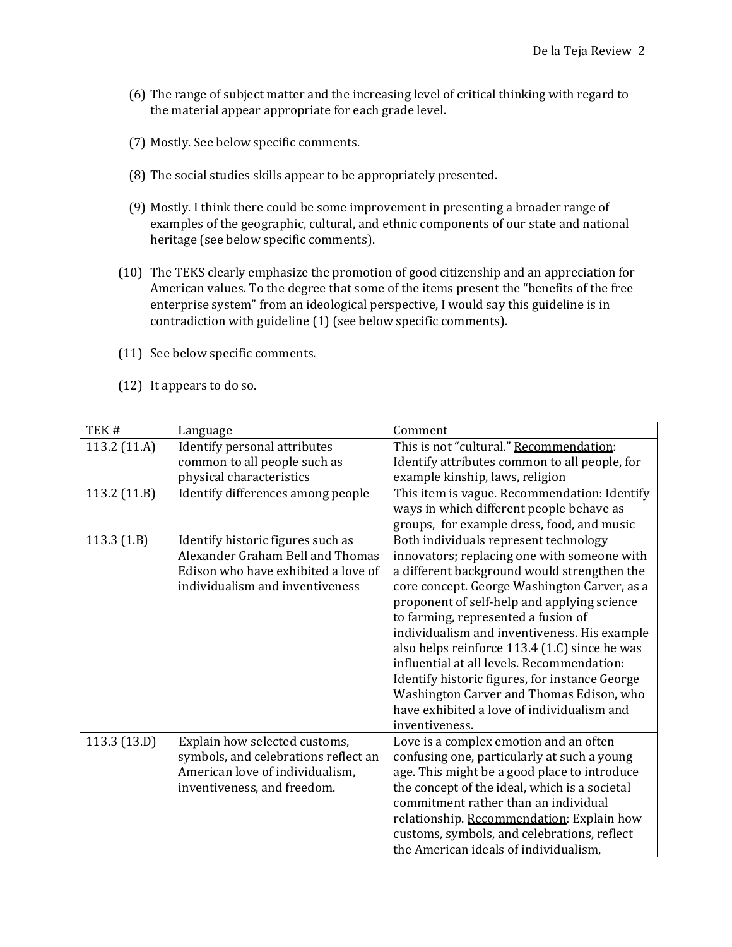- (6) The range of subject matter and the increasing level of critical thinking with regard to the material appear appropriate for each grade level.
- (7) Mostly. See below specific comments.
- (8) The social studies skills appear to be appropriately presented.
- (9) Mostly. I think there could be some improvement in presenting a broader range of examples of the geographic, cultural, and ethnic components of our state and national heritage (see below specific comments).
- (10) The TEKS clearly emphasize the promotion of good citizenship and an appreciation for American values. To the degree that some of the items present the "benefits of the free enterprise system" from an ideological perspective, I would say this guideline is in contradiction with guideline (1) (see below specific comments).
- (11) See below specific comments.
- (12) It appears to do so.

| TEK#         | Language                                                                                                                                        | Comment                                                                                                                                                                                                                                                                                                                                                                                                                                                                                                                                                                                |
|--------------|-------------------------------------------------------------------------------------------------------------------------------------------------|----------------------------------------------------------------------------------------------------------------------------------------------------------------------------------------------------------------------------------------------------------------------------------------------------------------------------------------------------------------------------------------------------------------------------------------------------------------------------------------------------------------------------------------------------------------------------------------|
| 113.2 (11.A) | Identify personal attributes                                                                                                                    | This is not "cultural." Recommendation:                                                                                                                                                                                                                                                                                                                                                                                                                                                                                                                                                |
|              | common to all people such as                                                                                                                    | Identify attributes common to all people, for                                                                                                                                                                                                                                                                                                                                                                                                                                                                                                                                          |
|              | physical characteristics                                                                                                                        | example kinship, laws, religion                                                                                                                                                                                                                                                                                                                                                                                                                                                                                                                                                        |
| 113.2 (11.B) | Identify differences among people                                                                                                               | This item is vague. Recommendation: Identify<br>ways in which different people behave as<br>groups, for example dress, food, and music                                                                                                                                                                                                                                                                                                                                                                                                                                                 |
| 113.3(1.B)   | Identify historic figures such as<br>Alexander Graham Bell and Thomas<br>Edison who have exhibited a love of<br>individualism and inventiveness | Both individuals represent technology<br>innovators; replacing one with someone with<br>a different background would strengthen the<br>core concept. George Washington Carver, as a<br>proponent of self-help and applying science<br>to farming, represented a fusion of<br>individualism and inventiveness. His example<br>also helps reinforce 113.4 (1.C) since he was<br>influential at all levels. Recommendation:<br>Identify historic figures, for instance George<br>Washington Carver and Thomas Edison, who<br>have exhibited a love of individualism and<br>inventiveness. |
| 113.3 (13.D) | Explain how selected customs,<br>symbols, and celebrations reflect an<br>American love of individualism,<br>inventiveness, and freedom.         | Love is a complex emotion and an often<br>confusing one, particularly at such a young<br>age. This might be a good place to introduce<br>the concept of the ideal, which is a societal<br>commitment rather than an individual<br>relationship. Recommendation: Explain how<br>customs, symbols, and celebrations, reflect<br>the American ideals of individualism,                                                                                                                                                                                                                    |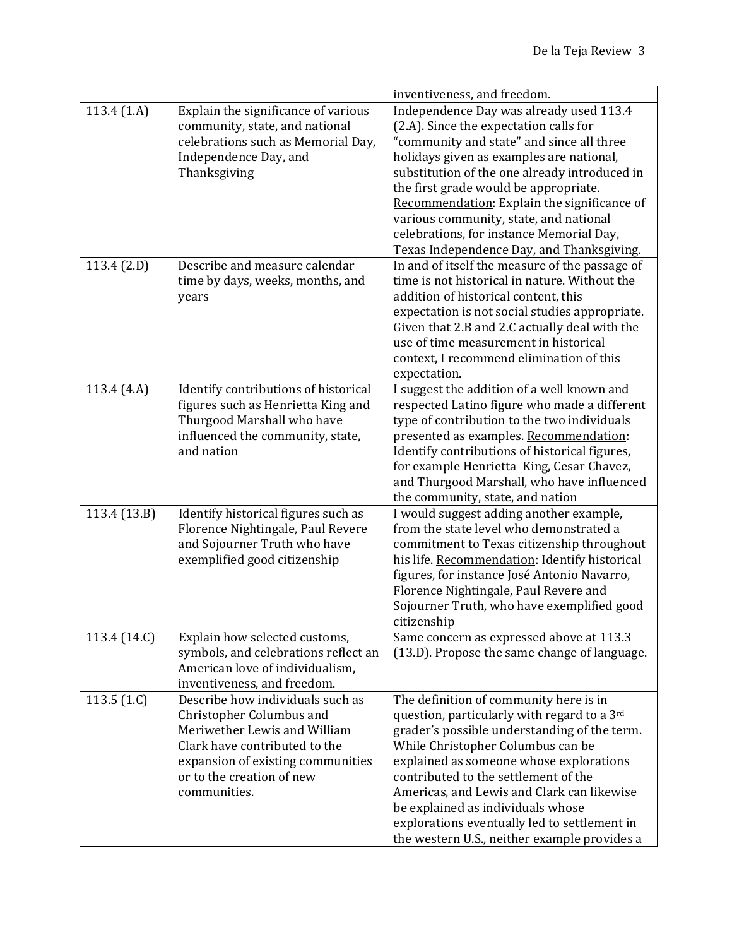|               |                                                                                                                                                                                                                 | inventiveness, and freedom.                                                                                                                                                                                                                                                                                                                                                                                                                            |
|---------------|-----------------------------------------------------------------------------------------------------------------------------------------------------------------------------------------------------------------|--------------------------------------------------------------------------------------------------------------------------------------------------------------------------------------------------------------------------------------------------------------------------------------------------------------------------------------------------------------------------------------------------------------------------------------------------------|
| 113.4(1.A)    | Explain the significance of various<br>community, state, and national<br>celebrations such as Memorial Day,<br>Independence Day, and<br>Thanksgiving                                                            | Independence Day was already used 113.4<br>(2.A). Since the expectation calls for<br>"community and state" and since all three<br>holidays given as examples are national,<br>substitution of the one already introduced in<br>the first grade would be appropriate.<br>Recommendation: Explain the significance of<br>various community, state, and national<br>celebrations, for instance Memorial Day,<br>Texas Independence Day, and Thanksgiving. |
| 113.4(2.D)    | Describe and measure calendar<br>time by days, weeks, months, and<br>years                                                                                                                                      | In and of itself the measure of the passage of<br>time is not historical in nature. Without the<br>addition of historical content, this<br>expectation is not social studies appropriate.<br>Given that 2.B and 2.C actually deal with the<br>use of time measurement in historical<br>context, I recommend elimination of this<br>expectation.                                                                                                        |
| 113.4 (4.A)   | Identify contributions of historical<br>figures such as Henrietta King and<br>Thurgood Marshall who have<br>influenced the community, state,<br>and nation                                                      | I suggest the addition of a well known and<br>respected Latino figure who made a different<br>type of contribution to the two individuals<br>presented as examples. Recommendation:<br>Identify contributions of historical figures,<br>for example Henrietta King, Cesar Chavez,<br>and Thurgood Marshall, who have influenced<br>the community, state, and nation                                                                                    |
| 113.4 (13.B)  | Identify historical figures such as<br>Florence Nightingale, Paul Revere<br>and Sojourner Truth who have<br>exemplified good citizenship                                                                        | I would suggest adding another example,<br>from the state level who demonstrated a<br>commitment to Texas citizenship throughout<br>his life. Recommendation: Identify historical<br>figures, for instance José Antonio Navarro,<br>Florence Nightingale, Paul Revere and<br>Sojourner Truth, who have exemplified good<br>citizenship                                                                                                                 |
| 113.4 (14.C)  | Explain how selected customs,<br>symbols, and celebrations reflect an<br>American love of individualism,<br>inventiveness, and freedom.                                                                         | Same concern as expressed above at 113.3<br>(13.D). Propose the same change of language.                                                                                                                                                                                                                                                                                                                                                               |
| 113.5 $(1.C)$ | Describe how individuals such as<br>Christopher Columbus and<br>Meriwether Lewis and William<br>Clark have contributed to the<br>expansion of existing communities<br>or to the creation of new<br>communities. | The definition of community here is in<br>question, particularly with regard to a 3rd<br>grader's possible understanding of the term.<br>While Christopher Columbus can be<br>explained as someone whose explorations<br>contributed to the settlement of the<br>Americas, and Lewis and Clark can likewise<br>be explained as individuals whose<br>explorations eventually led to settlement in<br>the western U.S., neither example provides a       |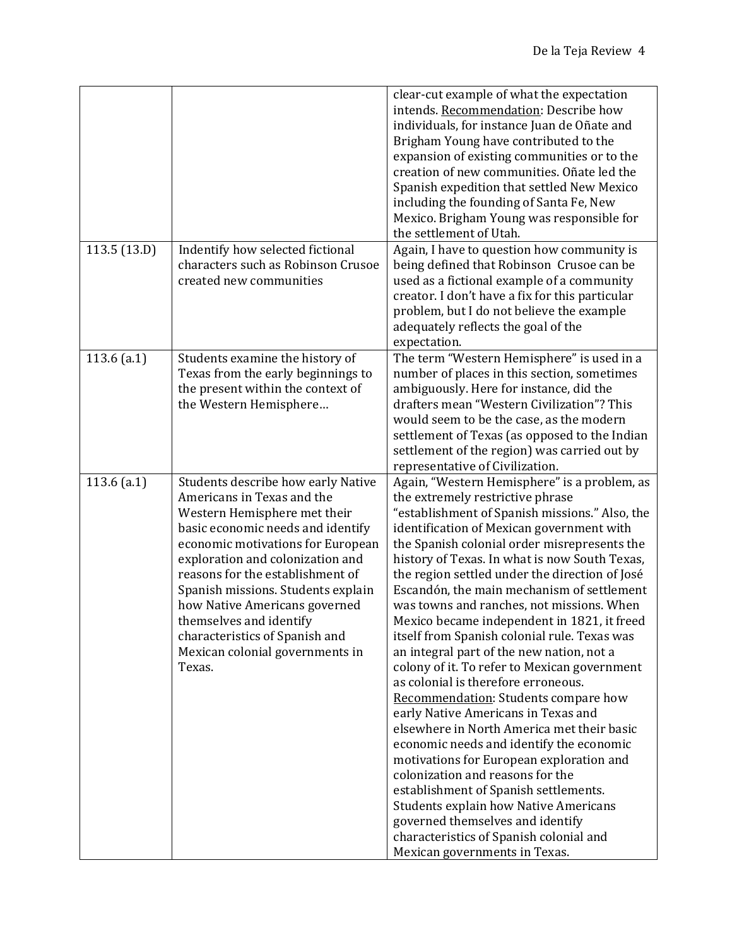|               |                                                                                                                                                                                                                                                                                                                                                                                                                                     | clear-cut example of what the expectation<br>intends. Recommendation: Describe how<br>individuals, for instance Juan de Oñate and<br>Brigham Young have contributed to the<br>expansion of existing communities or to the<br>creation of new communities. Oñate led the<br>Spanish expedition that settled New Mexico<br>including the founding of Santa Fe, New<br>Mexico. Brigham Young was responsible for<br>the settlement of Utah.                                                                                                                                                                                                                                                                                                                                                                                                                                                                                                                                                                                                                                                                                           |
|---------------|-------------------------------------------------------------------------------------------------------------------------------------------------------------------------------------------------------------------------------------------------------------------------------------------------------------------------------------------------------------------------------------------------------------------------------------|------------------------------------------------------------------------------------------------------------------------------------------------------------------------------------------------------------------------------------------------------------------------------------------------------------------------------------------------------------------------------------------------------------------------------------------------------------------------------------------------------------------------------------------------------------------------------------------------------------------------------------------------------------------------------------------------------------------------------------------------------------------------------------------------------------------------------------------------------------------------------------------------------------------------------------------------------------------------------------------------------------------------------------------------------------------------------------------------------------------------------------|
| 113.5(13.D)   | Indentify how selected fictional<br>characters such as Robinson Crusoe<br>created new communities                                                                                                                                                                                                                                                                                                                                   | Again, I have to question how community is<br>being defined that Robinson Crusoe can be<br>used as a fictional example of a community<br>creator. I don't have a fix for this particular<br>problem, but I do not believe the example<br>adequately reflects the goal of the<br>expectation.                                                                                                                                                                                                                                                                                                                                                                                                                                                                                                                                                                                                                                                                                                                                                                                                                                       |
| $113.6$ (a.1) | Students examine the history of<br>Texas from the early beginnings to<br>the present within the context of<br>the Western Hemisphere                                                                                                                                                                                                                                                                                                | The term "Western Hemisphere" is used in a<br>number of places in this section, sometimes<br>ambiguously. Here for instance, did the<br>drafters mean "Western Civilization"? This<br>would seem to be the case, as the modern<br>settlement of Texas (as opposed to the Indian<br>settlement of the region) was carried out by<br>representative of Civilization.                                                                                                                                                                                                                                                                                                                                                                                                                                                                                                                                                                                                                                                                                                                                                                 |
| 113.6 $(a.1)$ | Students describe how early Native<br>Americans in Texas and the<br>Western Hemisphere met their<br>basic economic needs and identify<br>economic motivations for European<br>exploration and colonization and<br>reasons for the establishment of<br>Spanish missions. Students explain<br>how Native Americans governed<br>themselves and identify<br>characteristics of Spanish and<br>Mexican colonial governments in<br>Texas. | Again, "Western Hemisphere" is a problem, as<br>the extremely restrictive phrase<br>"establishment of Spanish missions." Also, the<br>identification of Mexican government with<br>the Spanish colonial order misrepresents the<br>history of Texas. In what is now South Texas,<br>the region settled under the direction of José<br>Escandón, the main mechanism of settlement<br>was towns and ranches, not missions. When<br>Mexico became independent in 1821, it freed<br>itself from Spanish colonial rule. Texas was<br>an integral part of the new nation, not a<br>colony of it. To refer to Mexican government<br>as colonial is therefore erroneous.<br>Recommendation: Students compare how<br>early Native Americans in Texas and<br>elsewhere in North America met their basic<br>economic needs and identify the economic<br>motivations for European exploration and<br>colonization and reasons for the<br>establishment of Spanish settlements.<br><b>Students explain how Native Americans</b><br>governed themselves and identify<br>characteristics of Spanish colonial and<br>Mexican governments in Texas. |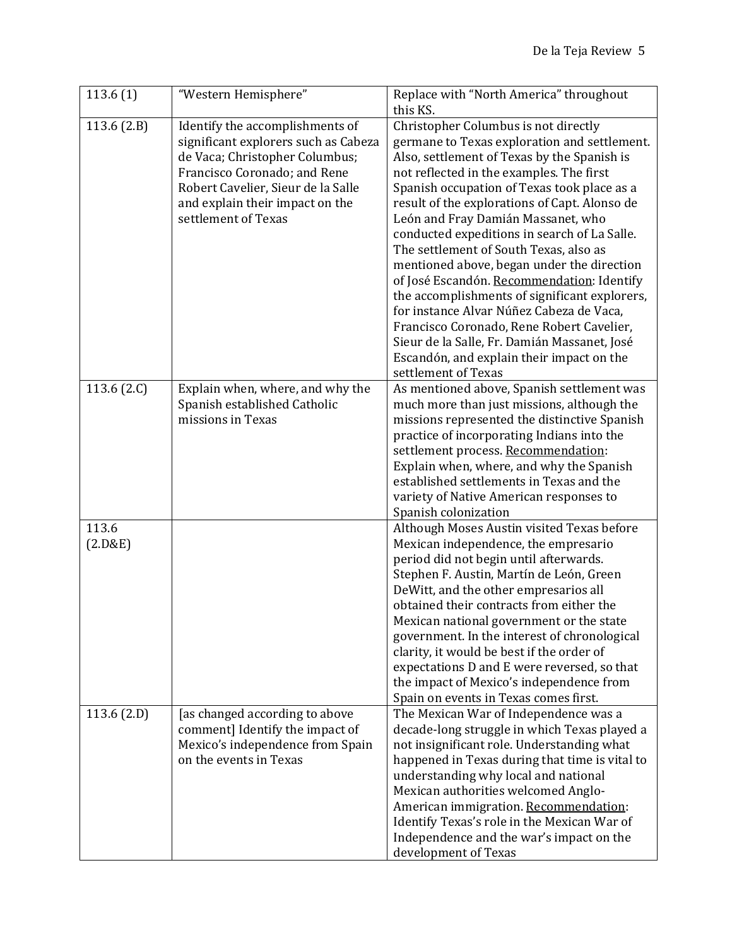| 113.6(1)    | "Western Hemisphere"                 | Replace with "North America" throughout        |
|-------------|--------------------------------------|------------------------------------------------|
|             |                                      | this KS.                                       |
| 113.6(2.B)  | Identify the accomplishments of      | Christopher Columbus is not directly           |
|             | significant explorers such as Cabeza | germane to Texas exploration and settlement.   |
|             | de Vaca; Christopher Columbus;       | Also, settlement of Texas by the Spanish is    |
|             | Francisco Coronado; and Rene         | not reflected in the examples. The first       |
|             | Robert Cavelier, Sieur de la Salle   | Spanish occupation of Texas took place as a    |
|             | and explain their impact on the      | result of the explorations of Capt. Alonso de  |
|             | settlement of Texas                  | León and Fray Damián Massanet, who             |
|             |                                      | conducted expeditions in search of La Salle.   |
|             |                                      | The settlement of South Texas, also as         |
|             |                                      | mentioned above, began under the direction     |
|             |                                      | of José Escandón. Recommendation: Identify     |
|             |                                      | the accomplishments of significant explorers,  |
|             |                                      | for instance Alvar Núñez Cabeza de Vaca,       |
|             |                                      | Francisco Coronado, Rene Robert Cavelier,      |
|             |                                      | Sieur de la Salle, Fr. Damián Massanet, José   |
|             |                                      | Escandón, and explain their impact on the      |
|             |                                      | settlement of Texas                            |
| 113.6 (2.C) | Explain when, where, and why the     | As mentioned above, Spanish settlement was     |
|             | Spanish established Catholic         | much more than just missions, although the     |
|             | missions in Texas                    | missions represented the distinctive Spanish   |
|             |                                      | practice of incorporating Indians into the     |
|             |                                      | settlement process. Recommendation:            |
|             |                                      | Explain when, where, and why the Spanish       |
|             |                                      | established settlements in Texas and the       |
|             |                                      | variety of Native American responses to        |
|             |                                      | Spanish colonization                           |
| 113.6       |                                      | Although Moses Austin visited Texas before     |
| (2.D&E)     |                                      | Mexican independence, the empresario           |
|             |                                      | period did not begin until afterwards.         |
|             |                                      | Stephen F. Austin, Martín de León, Green       |
|             |                                      | DeWitt, and the other empresarios all          |
|             |                                      | obtained their contracts from either the       |
|             |                                      | Mexican national government or the state       |
|             |                                      | government. In the interest of chronological   |
|             |                                      | clarity, it would be best if the order of      |
|             |                                      | expectations D and E were reversed, so that    |
|             |                                      | the impact of Mexico's independence from       |
|             |                                      | Spain on events in Texas comes first.          |
| 113.6(2.D)  | [as changed according to above       | The Mexican War of Independence was a          |
|             | comment] Identify the impact of      | decade-long struggle in which Texas played a   |
|             | Mexico's independence from Spain     | not insignificant role. Understanding what     |
|             | on the events in Texas               | happened in Texas during that time is vital to |
|             |                                      | understanding why local and national           |
|             |                                      | Mexican authorities welcomed Anglo-            |
|             |                                      | American immigration. Recommendation:          |
|             |                                      | Identify Texas's role in the Mexican War of    |
|             |                                      | Independence and the war's impact on the       |
|             |                                      | development of Texas                           |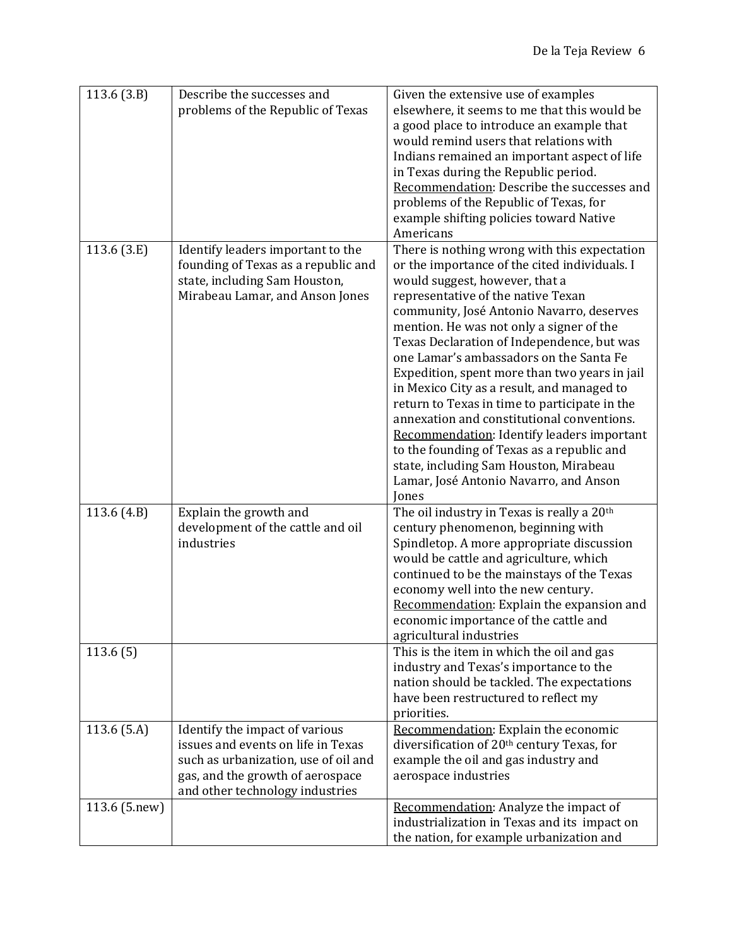| 113.6(3.B)    | Describe the successes and<br>problems of the Republic of Texas                                                                                                                     | Given the extensive use of examples<br>elsewhere, it seems to me that this would be<br>a good place to introduce an example that<br>would remind users that relations with<br>Indians remained an important aspect of life<br>in Texas during the Republic period.<br>Recommendation: Describe the successes and<br>problems of the Republic of Texas, for<br>example shifting policies toward Native<br>Americans                                                                                                                                                                                                                                                                                                                             |
|---------------|-------------------------------------------------------------------------------------------------------------------------------------------------------------------------------------|------------------------------------------------------------------------------------------------------------------------------------------------------------------------------------------------------------------------------------------------------------------------------------------------------------------------------------------------------------------------------------------------------------------------------------------------------------------------------------------------------------------------------------------------------------------------------------------------------------------------------------------------------------------------------------------------------------------------------------------------|
| 113.6 $(3.E)$ | Identify leaders important to the<br>founding of Texas as a republic and<br>state, including Sam Houston,<br>Mirabeau Lamar, and Anson Jones                                        | There is nothing wrong with this expectation<br>or the importance of the cited individuals. I<br>would suggest, however, that a<br>representative of the native Texan<br>community, José Antonio Navarro, deserves<br>mention. He was not only a signer of the<br>Texas Declaration of Independence, but was<br>one Lamar's ambassadors on the Santa Fe<br>Expedition, spent more than two years in jail<br>in Mexico City as a result, and managed to<br>return to Texas in time to participate in the<br>annexation and constitutional conventions.<br>Recommendation: Identify leaders important<br>to the founding of Texas as a republic and<br>state, including Sam Houston, Mirabeau<br>Lamar, José Antonio Navarro, and Anson<br>Jones |
| 113.6 $(4.B)$ | Explain the growth and<br>development of the cattle and oil<br>industries                                                                                                           | The oil industry in Texas is really a 20 <sup>th</sup><br>century phenomenon, beginning with<br>Spindletop. A more appropriate discussion<br>would be cattle and agriculture, which<br>continued to be the mainstays of the Texas<br>economy well into the new century.<br>Recommendation: Explain the expansion and<br>economic importance of the cattle and<br>agricultural industries                                                                                                                                                                                                                                                                                                                                                       |
| 113.6(5)      |                                                                                                                                                                                     | This is the item in which the oil and gas<br>industry and Texas's importance to the<br>nation should be tackled. The expectations<br>have been restructured to reflect my<br>priorities.                                                                                                                                                                                                                                                                                                                                                                                                                                                                                                                                                       |
| 113.6 $(5.A)$ | Identify the impact of various<br>issues and events on life in Texas<br>such as urbanization, use of oil and<br>gas, and the growth of aerospace<br>and other technology industries | Recommendation: Explain the economic<br>diversification of 20 <sup>th</sup> century Texas, for<br>example the oil and gas industry and<br>aerospace industries                                                                                                                                                                                                                                                                                                                                                                                                                                                                                                                                                                                 |
| 113.6 (5.new) |                                                                                                                                                                                     | Recommendation: Analyze the impact of<br>industrialization in Texas and its impact on<br>the nation, for example urbanization and                                                                                                                                                                                                                                                                                                                                                                                                                                                                                                                                                                                                              |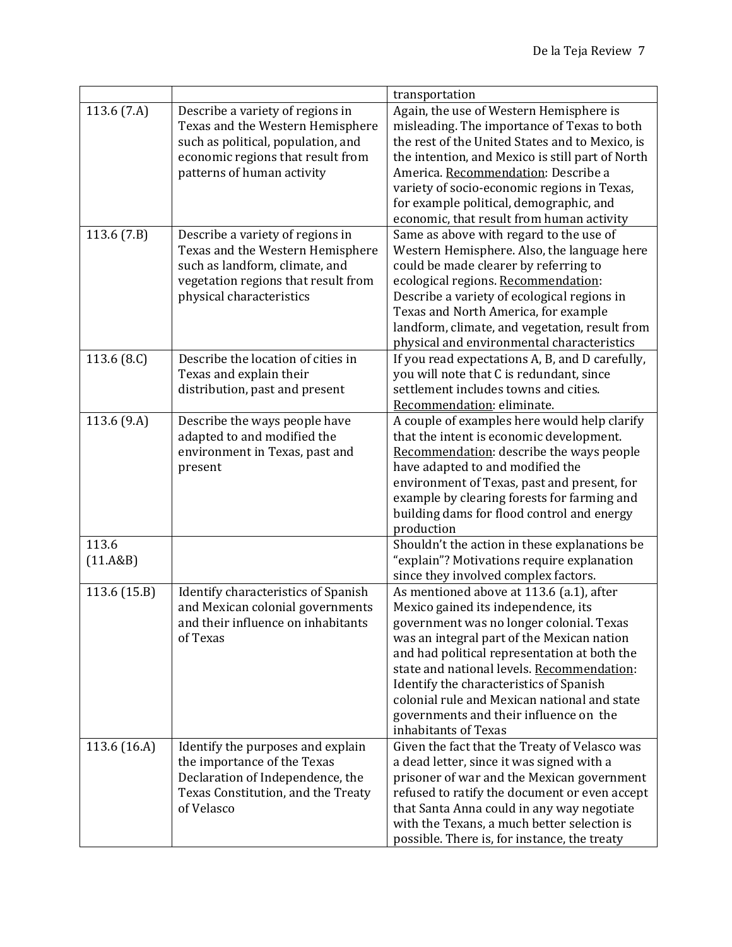|                   |                                                                                                                                                                               | transportation                                                                                                                                                                                                                                                                                                                                                                                                                       |
|-------------------|-------------------------------------------------------------------------------------------------------------------------------------------------------------------------------|--------------------------------------------------------------------------------------------------------------------------------------------------------------------------------------------------------------------------------------------------------------------------------------------------------------------------------------------------------------------------------------------------------------------------------------|
| 113.6 (7.A)       | Describe a variety of regions in<br>Texas and the Western Hemisphere<br>such as political, population, and<br>economic regions that result from<br>patterns of human activity | Again, the use of Western Hemisphere is<br>misleading. The importance of Texas to both<br>the rest of the United States and to Mexico, is<br>the intention, and Mexico is still part of North<br>America. Recommendation: Describe a<br>variety of socio-economic regions in Texas,<br>for example political, demographic, and<br>economic, that result from human activity                                                          |
| 113.6(7.B)        | Describe a variety of regions in<br>Texas and the Western Hemisphere<br>such as landform, climate, and<br>vegetation regions that result from<br>physical characteristics     | Same as above with regard to the use of<br>Western Hemisphere. Also, the language here<br>could be made clearer by referring to<br>ecological regions. Recommendation:<br>Describe a variety of ecological regions in<br>Texas and North America, for example<br>landform, climate, and vegetation, result from<br>physical and environmental characteristics                                                                        |
| 113.6 $(8.C)$     | Describe the location of cities in<br>Texas and explain their<br>distribution, past and present                                                                               | If you read expectations A, B, and D carefully,<br>you will note that C is redundant, since<br>settlement includes towns and cities.<br>Recommendation: eliminate.                                                                                                                                                                                                                                                                   |
| 113.6 (9.A)       | Describe the ways people have<br>adapted to and modified the<br>environment in Texas, past and<br>present                                                                     | A couple of examples here would help clarify<br>that the intent is economic development.<br>Recommendation: describe the ways people<br>have adapted to and modified the<br>environment of Texas, past and present, for<br>example by clearing forests for farming and<br>building dams for flood control and energy<br>production                                                                                                   |
| 113.6<br>(11.A&B) |                                                                                                                                                                               | Shouldn't the action in these explanations be<br>"explain"? Motivations require explanation<br>since they involved complex factors.                                                                                                                                                                                                                                                                                                  |
| 113.6 (15.B)      | Identify characteristics of Spanish<br>and Mexican colonial governments<br>and their influence on inhabitants<br>of Texas                                                     | As mentioned above at 113.6 (a.1), after<br>Mexico gained its independence, its<br>government was no longer colonial. Texas<br>was an integral part of the Mexican nation<br>and had political representation at both the<br>state and national levels. Recommendation:<br>Identify the characteristics of Spanish<br>colonial rule and Mexican national and state<br>governments and their influence on the<br>inhabitants of Texas |
| 113.6 (16.A)      | Identify the purposes and explain<br>the importance of the Texas<br>Declaration of Independence, the<br>Texas Constitution, and the Treaty<br>of Velasco                      | Given the fact that the Treaty of Velasco was<br>a dead letter, since it was signed with a<br>prisoner of war and the Mexican government<br>refused to ratify the document or even accept<br>that Santa Anna could in any way negotiate<br>with the Texans, a much better selection is<br>possible. There is, for instance, the treaty                                                                                               |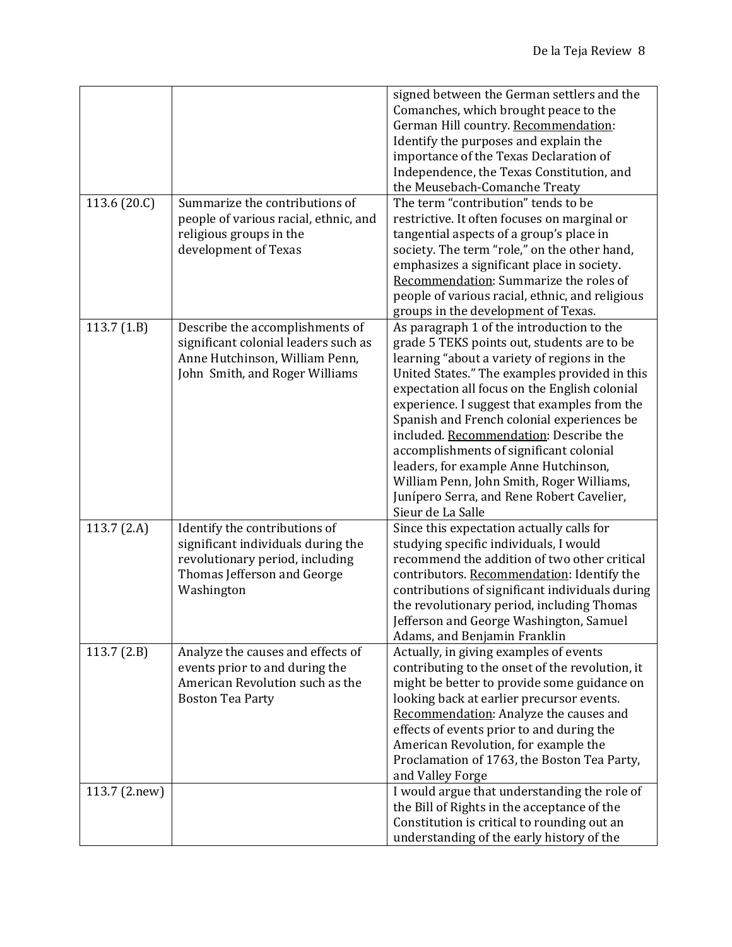| 113.6 (20.C)  | Summarize the contributions of<br>people of various racial, ethnic, and                                                                             | signed between the German settlers and the<br>Comanches, which brought peace to the<br>German Hill country. Recommendation:<br>Identify the purposes and explain the<br>importance of the Texas Declaration of<br>Independence, the Texas Constitution, and<br>the Meusebach-Comanche Treaty<br>The term "contribution" tends to be<br>restrictive. It often focuses on marginal or                                                                                                                                                                                                  |
|---------------|-----------------------------------------------------------------------------------------------------------------------------------------------------|--------------------------------------------------------------------------------------------------------------------------------------------------------------------------------------------------------------------------------------------------------------------------------------------------------------------------------------------------------------------------------------------------------------------------------------------------------------------------------------------------------------------------------------------------------------------------------------|
|               | religious groups in the<br>development of Texas                                                                                                     | tangential aspects of a group's place in<br>society. The term "role," on the other hand,<br>emphasizes a significant place in society.<br>Recommendation: Summarize the roles of<br>people of various racial, ethnic, and religious<br>groups in the development of Texas.                                                                                                                                                                                                                                                                                                           |
| 113.7(1.B)    | Describe the accomplishments of<br>significant colonial leaders such as<br>Anne Hutchinson, William Penn,<br>John Smith, and Roger Williams         | As paragraph 1 of the introduction to the<br>grade 5 TEKS points out, students are to be<br>learning "about a variety of regions in the<br>United States." The examples provided in this<br>expectation all focus on the English colonial<br>experience. I suggest that examples from the<br>Spanish and French colonial experiences be<br>included. Recommendation: Describe the<br>accomplishments of significant colonial<br>leaders, for example Anne Hutchinson,<br>William Penn, John Smith, Roger Williams,<br>Junípero Serra, and Rene Robert Cavelier,<br>Sieur de La Salle |
| 113.7 $(2.A)$ | Identify the contributions of<br>significant individuals during the<br>revolutionary period, including<br>Thomas Jefferson and George<br>Washington | Since this expectation actually calls for<br>studying specific individuals, I would<br>recommend the addition of two other critical<br>contributors. Recommendation: Identify the<br>contributions of significant individuals during<br>the revolutionary period, including Thomas<br>Jefferson and George Washington, Samuel<br>Adams, and Benjamin Franklin                                                                                                                                                                                                                        |
| 113.7(2.B)    | Analyze the causes and effects of<br>events prior to and during the<br>American Revolution such as the<br><b>Boston Tea Party</b>                   | Actually, in giving examples of events<br>contributing to the onset of the revolution, it<br>might be better to provide some guidance on<br>looking back at earlier precursor events.<br>Recommendation: Analyze the causes and<br>effects of events prior to and during the<br>American Revolution, for example the<br>Proclamation of 1763, the Boston Tea Party,<br>and Valley Forge                                                                                                                                                                                              |
| 113.7 (2.new) |                                                                                                                                                     | I would argue that understanding the role of<br>the Bill of Rights in the acceptance of the<br>Constitution is critical to rounding out an<br>understanding of the early history of the                                                                                                                                                                                                                                                                                                                                                                                              |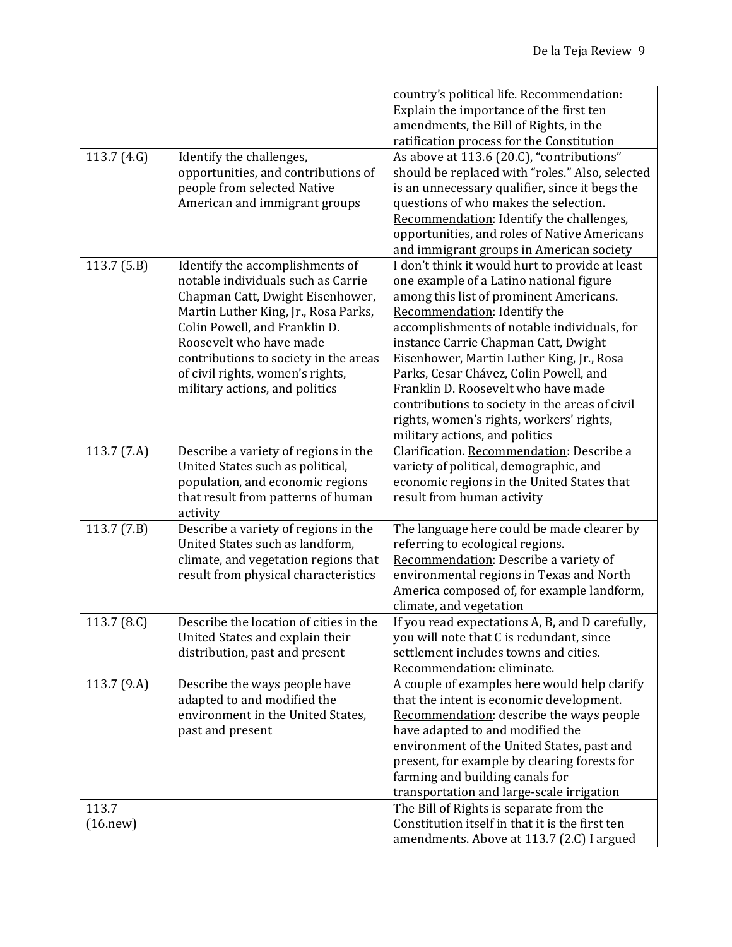|                          |                                                                                                                                                                                                                                                                                                                              | country's political life. Recommendation:<br>Explain the importance of the first ten                                                                                                                                                                                                                                                                                                                                                                                                                                       |
|--------------------------|------------------------------------------------------------------------------------------------------------------------------------------------------------------------------------------------------------------------------------------------------------------------------------------------------------------------------|----------------------------------------------------------------------------------------------------------------------------------------------------------------------------------------------------------------------------------------------------------------------------------------------------------------------------------------------------------------------------------------------------------------------------------------------------------------------------------------------------------------------------|
|                          |                                                                                                                                                                                                                                                                                                                              | amendments, the Bill of Rights, in the<br>ratification process for the Constitution                                                                                                                                                                                                                                                                                                                                                                                                                                        |
| 113.7 $(4.G)$            | Identify the challenges,<br>opportunities, and contributions of<br>people from selected Native<br>American and immigrant groups                                                                                                                                                                                              | As above at 113.6 (20.C), "contributions"<br>should be replaced with "roles." Also, selected<br>is an unnecessary qualifier, since it begs the<br>questions of who makes the selection.<br>Recommendation: Identify the challenges,<br>opportunities, and roles of Native Americans<br>and immigrant groups in American society                                                                                                                                                                                            |
| 113.7(5.B)               | Identify the accomplishments of<br>notable individuals such as Carrie<br>Chapman Catt, Dwight Eisenhower,<br>Martin Luther King, Jr., Rosa Parks,<br>Colin Powell, and Franklin D.<br>Roosevelt who have made<br>contributions to society in the areas<br>of civil rights, women's rights,<br>military actions, and politics | I don't think it would hurt to provide at least<br>one example of a Latino national figure<br>among this list of prominent Americans.<br>Recommendation: Identify the<br>accomplishments of notable individuals, for<br>instance Carrie Chapman Catt, Dwight<br>Eisenhower, Martin Luther King, Jr., Rosa<br>Parks, Cesar Chávez, Colin Powell, and<br>Franklin D. Roosevelt who have made<br>contributions to society in the areas of civil<br>rights, women's rights, workers' rights,<br>military actions, and politics |
| 113.7 $(7.A)$            | Describe a variety of regions in the<br>United States such as political,<br>population, and economic regions<br>that result from patterns of human<br>activity                                                                                                                                                               | Clarification. Recommendation: Describe a<br>variety of political, demographic, and<br>economic regions in the United States that<br>result from human activity                                                                                                                                                                                                                                                                                                                                                            |
| $\overline{113.7}$ (7.B) | Describe a variety of regions in the<br>United States such as landform,<br>climate, and vegetation regions that<br>result from physical characteristics                                                                                                                                                                      | The language here could be made clearer by<br>referring to ecological regions.<br>Recommendation: Describe a variety of<br>environmental regions in Texas and North<br>America composed of, for example landform,<br>climate, and vegetation                                                                                                                                                                                                                                                                               |
| 113.7 (8.C)              | Describe the location of cities in the<br>United States and explain their<br>distribution, past and present                                                                                                                                                                                                                  | If you read expectations A, B, and D carefully,<br>you will note that C is redundant, since<br>settlement includes towns and cities.<br>Recommendation: eliminate.                                                                                                                                                                                                                                                                                                                                                         |
| 113.7 (9.A)              | Describe the ways people have<br>adapted to and modified the<br>environment in the United States,<br>past and present                                                                                                                                                                                                        | A couple of examples here would help clarify<br>that the intent is economic development.<br>Recommendation: describe the ways people<br>have adapted to and modified the<br>environment of the United States, past and<br>present, for example by clearing forests for<br>farming and building canals for<br>transportation and large-scale irrigation                                                                                                                                                                     |
| 113.7<br>(16. new)       |                                                                                                                                                                                                                                                                                                                              | The Bill of Rights is separate from the<br>Constitution itself in that it is the first ten<br>amendments. Above at 113.7 (2.C) I argued                                                                                                                                                                                                                                                                                                                                                                                    |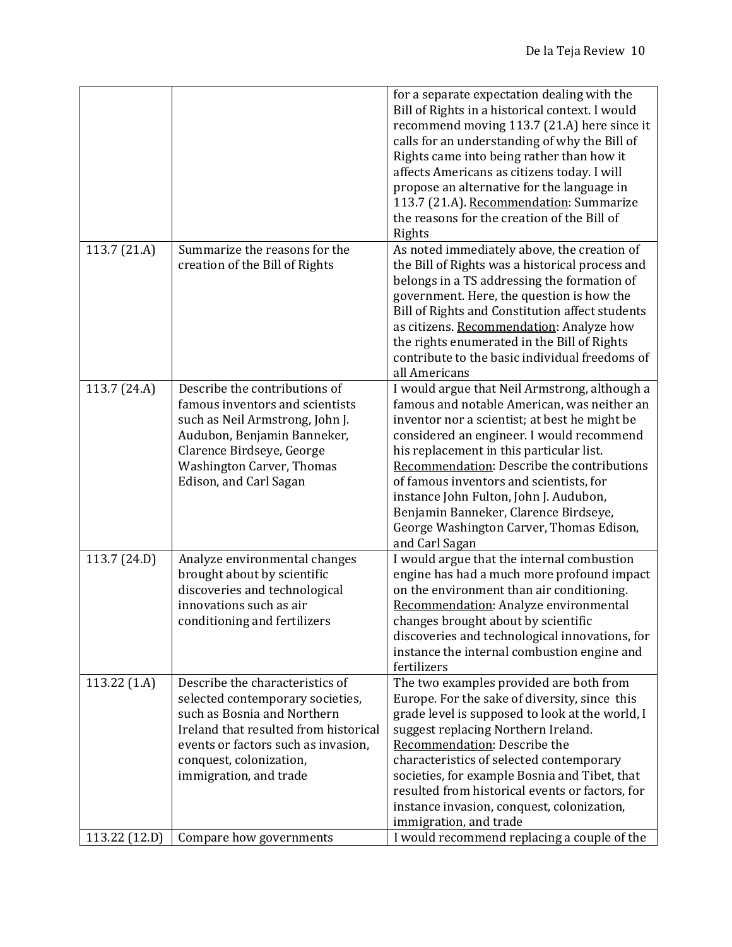|                         |                                                                                                                                                                                                                                         | for a separate expectation dealing with the<br>Bill of Rights in a historical context. I would<br>recommend moving 113.7 (21.A) here since it<br>calls for an understanding of why the Bill of<br>Rights came into being rather than how it<br>affects Americans as citizens today. I will<br>propose an alternative for the language in<br>113.7 (21.A). Recommendation: Summarize<br>the reasons for the creation of the Bill of<br>Rights                                     |
|-------------------------|-----------------------------------------------------------------------------------------------------------------------------------------------------------------------------------------------------------------------------------------|----------------------------------------------------------------------------------------------------------------------------------------------------------------------------------------------------------------------------------------------------------------------------------------------------------------------------------------------------------------------------------------------------------------------------------------------------------------------------------|
| 113.7 (21.A)            | Summarize the reasons for the<br>creation of the Bill of Rights                                                                                                                                                                         | As noted immediately above, the creation of<br>the Bill of Rights was a historical process and<br>belongs in a TS addressing the formation of<br>government. Here, the question is how the<br>Bill of Rights and Constitution affect students<br>as citizens. Recommendation: Analyze how<br>the rights enumerated in the Bill of Rights<br>contribute to the basic individual freedoms of<br>all Americans                                                                      |
| 113.7 (24.A)            | Describe the contributions of<br>famous inventors and scientists<br>such as Neil Armstrong, John J.<br>Audubon, Benjamin Banneker,<br>Clarence Birdseye, George<br><b>Washington Carver, Thomas</b><br>Edison, and Carl Sagan           | I would argue that Neil Armstrong, although a<br>famous and notable American, was neither an<br>inventor nor a scientist; at best he might be<br>considered an engineer. I would recommend<br>his replacement in this particular list.<br>Recommendation: Describe the contributions<br>of famous inventors and scientists, for<br>instance John Fulton, John J. Audubon,<br>Benjamin Banneker, Clarence Birdseye,<br>George Washington Carver, Thomas Edison,<br>and Carl Sagan |
| 113.7 (24.D)            | Analyze environmental changes<br>brought about by scientific<br>discoveries and technological<br>innovations such as air<br>conditioning and fertilizers                                                                                | I would argue that the internal combustion<br>engine has had a much more profound impact<br>on the environment than air conditioning.<br>Recommendation: Analyze environmental<br>changes brought about by scientific<br>discoveries and technological innovations, for<br>instance the internal combustion engine and<br>fertilizers                                                                                                                                            |
| 113.22 <sub>(1.A)</sub> | Describe the characteristics of<br>selected contemporary societies,<br>such as Bosnia and Northern<br>Ireland that resulted from historical<br>events or factors such as invasion,<br>conquest, colonization,<br>immigration, and trade | The two examples provided are both from<br>Europe. For the sake of diversity, since this<br>grade level is supposed to look at the world, I<br>suggest replacing Northern Ireland.<br>Recommendation: Describe the<br>characteristics of selected contemporary<br>societies, for example Bosnia and Tibet, that<br>resulted from historical events or factors, for<br>instance invasion, conquest, colonization,<br>immigration, and trade                                       |
| 113.22 (12.D)           | Compare how governments                                                                                                                                                                                                                 | I would recommend replacing a couple of the                                                                                                                                                                                                                                                                                                                                                                                                                                      |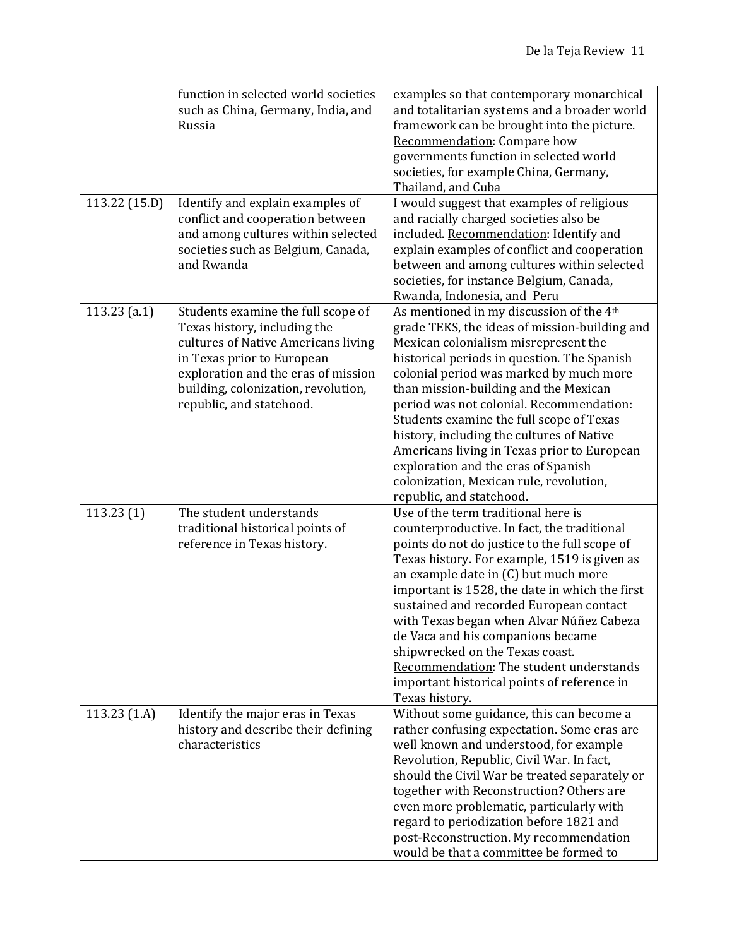|                | function in selected world societies<br>such as China, Germany, India, and<br>Russia                                                                                                                                                              | examples so that contemporary monarchical<br>and totalitarian systems and a broader world<br>framework can be brought into the picture.<br>Recommendation: Compare how<br>governments function in selected world<br>societies, for example China, Germany,<br>Thailand, and Cuba                                                                                                                                                                                                                                                                                                   |
|----------------|---------------------------------------------------------------------------------------------------------------------------------------------------------------------------------------------------------------------------------------------------|------------------------------------------------------------------------------------------------------------------------------------------------------------------------------------------------------------------------------------------------------------------------------------------------------------------------------------------------------------------------------------------------------------------------------------------------------------------------------------------------------------------------------------------------------------------------------------|
| 113.22 (15.D)  | Identify and explain examples of<br>conflict and cooperation between<br>and among cultures within selected<br>societies such as Belgium, Canada,<br>and Rwanda                                                                                    | I would suggest that examples of religious<br>and racially charged societies also be<br>included. Recommendation: Identify and<br>explain examples of conflict and cooperation<br>between and among cultures within selected<br>societies, for instance Belgium, Canada,<br>Rwanda, Indonesia, and Peru                                                                                                                                                                                                                                                                            |
| $113.23$ (a.1) | Students examine the full scope of<br>Texas history, including the<br>cultures of Native Americans living<br>in Texas prior to European<br>exploration and the eras of mission<br>building, colonization, revolution,<br>republic, and statehood. | As mentioned in my discussion of the 4 <sup>th</sup><br>grade TEKS, the ideas of mission-building and<br>Mexican colonialism misrepresent the<br>historical periods in question. The Spanish<br>colonial period was marked by much more<br>than mission-building and the Mexican<br>period was not colonial. Recommendation:<br>Students examine the full scope of Texas<br>history, including the cultures of Native<br>Americans living in Texas prior to European<br>exploration and the eras of Spanish<br>colonization, Mexican rule, revolution,<br>republic, and statehood. |
| 113.23(1)      | The student understands<br>traditional historical points of<br>reference in Texas history.                                                                                                                                                        | Use of the term traditional here is<br>counterproductive. In fact, the traditional<br>points do not do justice to the full scope of<br>Texas history. For example, 1519 is given as<br>an example date in (C) but much more<br>important is 1528, the date in which the first<br>sustained and recorded European contact<br>with Texas began when Alvar Núñez Cabeza<br>de Vaca and his companions became<br>shipwrecked on the Texas coast.<br>Recommendation: The student understands<br>important historical points of reference in<br>Texas history.                           |
| 113.23(1.A)    | Identify the major eras in Texas<br>history and describe their defining<br>characteristics                                                                                                                                                        | Without some guidance, this can become a<br>rather confusing expectation. Some eras are<br>well known and understood, for example<br>Revolution, Republic, Civil War. In fact,<br>should the Civil War be treated separately or<br>together with Reconstruction? Others are<br>even more problematic, particularly with<br>regard to periodization before 1821 and<br>post-Reconstruction. My recommendation<br>would be that a committee be formed to                                                                                                                             |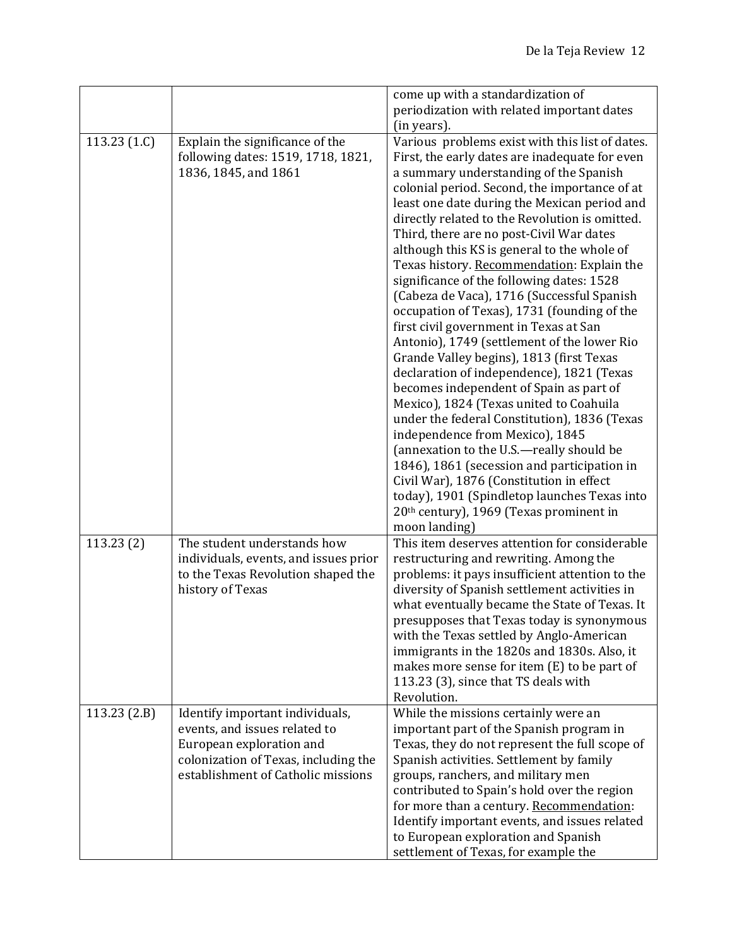|                |                                                                                                                                                                            | come up with a standardization of<br>periodization with related important dates                                                                                                                                                                                                                                                                                                                                                                                                                                                                                                                                                                                                                                                                                                                                                                                                                                                                                                                                                                                                                    |
|----------------|----------------------------------------------------------------------------------------------------------------------------------------------------------------------------|----------------------------------------------------------------------------------------------------------------------------------------------------------------------------------------------------------------------------------------------------------------------------------------------------------------------------------------------------------------------------------------------------------------------------------------------------------------------------------------------------------------------------------------------------------------------------------------------------------------------------------------------------------------------------------------------------------------------------------------------------------------------------------------------------------------------------------------------------------------------------------------------------------------------------------------------------------------------------------------------------------------------------------------------------------------------------------------------------|
| 113.23 $(1.C)$ | Explain the significance of the<br>following dates: 1519, 1718, 1821,<br>1836, 1845, and 1861                                                                              | (in years).<br>Various problems exist with this list of dates.<br>First, the early dates are inadequate for even<br>a summary understanding of the Spanish<br>colonial period. Second, the importance of at<br>least one date during the Mexican period and<br>directly related to the Revolution is omitted.<br>Third, there are no post-Civil War dates<br>although this KS is general to the whole of<br>Texas history. Recommendation: Explain the<br>significance of the following dates: 1528<br>(Cabeza de Vaca), 1716 (Successful Spanish<br>occupation of Texas), 1731 (founding of the<br>first civil government in Texas at San<br>Antonio), 1749 (settlement of the lower Rio<br>Grande Valley begins), 1813 (first Texas<br>declaration of independence), 1821 (Texas<br>becomes independent of Spain as part of<br>Mexico), 1824 (Texas united to Coahuila<br>under the federal Constitution), 1836 (Texas<br>independence from Mexico), 1845<br>(annexation to the U.S.-really should be<br>1846), 1861 (secession and participation in<br>Civil War), 1876 (Constitution in effect |
|                |                                                                                                                                                                            | today), 1901 (Spindletop launches Texas into<br>20 <sup>th</sup> century), 1969 (Texas prominent in<br>moon landing)                                                                                                                                                                                                                                                                                                                                                                                                                                                                                                                                                                                                                                                                                                                                                                                                                                                                                                                                                                               |
| 113.23(2)      | The student understands how<br>individuals, events, and issues prior<br>to the Texas Revolution shaped the<br>history of Texas                                             | This item deserves attention for considerable<br>restructuring and rewriting. Among the<br>problems: it pays insufficient attention to the<br>diversity of Spanish settlement activities in<br>what eventually became the State of Texas. It<br>presupposes that Texas today is synonymous<br>with the Texas settled by Anglo-American<br>immigrants in the 1820s and 1830s. Also, it<br>makes more sense for item (E) to be part of<br>113.23 (3), since that TS deals with<br>Revolution.                                                                                                                                                                                                                                                                                                                                                                                                                                                                                                                                                                                                        |
| 113.23(2.B)    | Identify important individuals,<br>events, and issues related to<br>European exploration and<br>colonization of Texas, including the<br>establishment of Catholic missions | While the missions certainly were an<br>important part of the Spanish program in<br>Texas, they do not represent the full scope of<br>Spanish activities. Settlement by family<br>groups, ranchers, and military men<br>contributed to Spain's hold over the region<br>for more than a century. Recommendation:<br>Identify important events, and issues related<br>to European exploration and Spanish<br>settlement of Texas, for example the                                                                                                                                                                                                                                                                                                                                                                                                                                                                                                                                                                                                                                                    |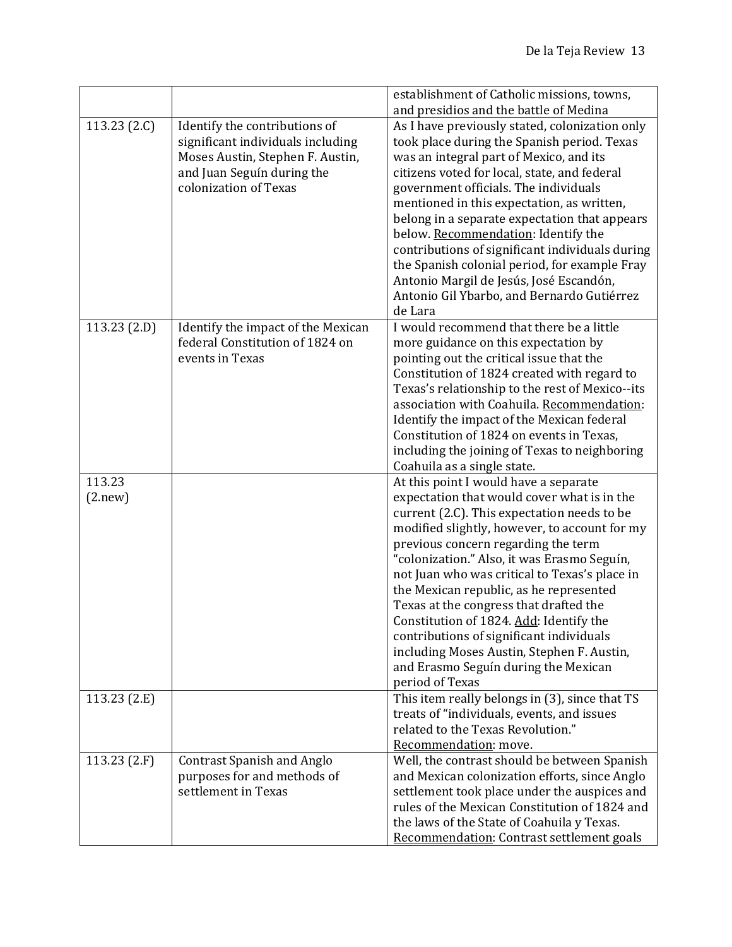|                   |                                                                                                                                                               | establishment of Catholic missions, towns,                                                                                                                                                                                                                                                                                                                                                                                                                                                                                                                                                                       |
|-------------------|---------------------------------------------------------------------------------------------------------------------------------------------------------------|------------------------------------------------------------------------------------------------------------------------------------------------------------------------------------------------------------------------------------------------------------------------------------------------------------------------------------------------------------------------------------------------------------------------------------------------------------------------------------------------------------------------------------------------------------------------------------------------------------------|
|                   |                                                                                                                                                               | and presidios and the battle of Medina                                                                                                                                                                                                                                                                                                                                                                                                                                                                                                                                                                           |
| 113.23 $(2.C)$    | Identify the contributions of<br>significant individuals including<br>Moses Austin, Stephen F. Austin,<br>and Juan Seguín during the<br>colonization of Texas | As I have previously stated, colonization only<br>took place during the Spanish period. Texas<br>was an integral part of Mexico, and its<br>citizens voted for local, state, and federal<br>government officials. The individuals<br>mentioned in this expectation, as written,<br>belong in a separate expectation that appears<br>below. Recommendation: Identify the<br>contributions of significant individuals during<br>the Spanish colonial period, for example Fray<br>Antonio Margil de Jesús, José Escandón,<br>Antonio Gil Ybarbo, and Bernardo Gutiérrez<br>de Lara                                  |
| 113.23 (2.D)      | Identify the impact of the Mexican<br>federal Constitution of 1824 on<br>events in Texas                                                                      | I would recommend that there be a little<br>more guidance on this expectation by<br>pointing out the critical issue that the<br>Constitution of 1824 created with regard to<br>Texas's relationship to the rest of Mexico--its<br>association with Coahuila. Recommendation:<br>Identify the impact of the Mexican federal<br>Constitution of 1824 on events in Texas,<br>including the joining of Texas to neighboring<br>Coahuila as a single state.                                                                                                                                                           |
| 113.23<br>(2.new) |                                                                                                                                                               | At this point I would have a separate<br>expectation that would cover what is in the<br>current (2.C). This expectation needs to be<br>modified slightly, however, to account for my<br>previous concern regarding the term<br>"colonization." Also, it was Erasmo Seguín,<br>not Juan who was critical to Texas's place in<br>the Mexican republic, as he represented<br>Texas at the congress that drafted the<br>Constitution of 1824. Add: Identify the<br>contributions of significant individuals<br>including Moses Austin, Stephen F. Austin,<br>and Erasmo Seguín during the Mexican<br>period of Texas |
| 113.23 (2.E)      |                                                                                                                                                               | This item really belongs in (3), since that TS<br>treats of "individuals, events, and issues<br>related to the Texas Revolution."<br>Recommendation: move.                                                                                                                                                                                                                                                                                                                                                                                                                                                       |
| 113.23(2.F)       | <b>Contrast Spanish and Anglo</b><br>purposes for and methods of<br>settlement in Texas                                                                       | Well, the contrast should be between Spanish<br>and Mexican colonization efforts, since Anglo<br>settlement took place under the auspices and<br>rules of the Mexican Constitution of 1824 and<br>the laws of the State of Coahuila y Texas.<br><b>Recommendation: Contrast settlement goals</b>                                                                                                                                                                                                                                                                                                                 |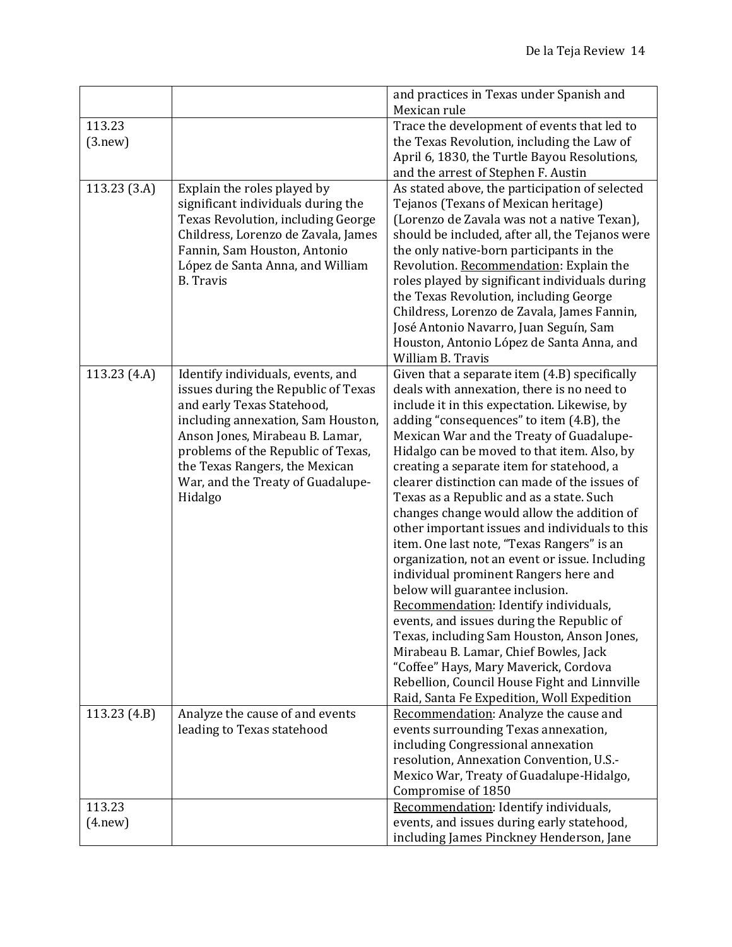|                    |                                                                                                                                                                                                                                                                                                         | and practices in Texas under Spanish and<br>Mexican rule                                                                                                                                                                                                                                                                                                                                                                                                                                                                                                                                                                                                                                                                                                                                                                                                                                                                                                                                                                     |
|--------------------|---------------------------------------------------------------------------------------------------------------------------------------------------------------------------------------------------------------------------------------------------------------------------------------------------------|------------------------------------------------------------------------------------------------------------------------------------------------------------------------------------------------------------------------------------------------------------------------------------------------------------------------------------------------------------------------------------------------------------------------------------------------------------------------------------------------------------------------------------------------------------------------------------------------------------------------------------------------------------------------------------------------------------------------------------------------------------------------------------------------------------------------------------------------------------------------------------------------------------------------------------------------------------------------------------------------------------------------------|
| 113.23<br>(3.new)  |                                                                                                                                                                                                                                                                                                         | Trace the development of events that led to<br>the Texas Revolution, including the Law of<br>April 6, 1830, the Turtle Bayou Resolutions,<br>and the arrest of Stephen F. Austin                                                                                                                                                                                                                                                                                                                                                                                                                                                                                                                                                                                                                                                                                                                                                                                                                                             |
| 113.23 (3.A)       | Explain the roles played by<br>significant individuals during the<br>Texas Revolution, including George<br>Childress, Lorenzo de Zavala, James<br>Fannin, Sam Houston, Antonio<br>López de Santa Anna, and William<br><b>B.</b> Travis                                                                  | As stated above, the participation of selected<br>Tejanos (Texans of Mexican heritage)<br>(Lorenzo de Zavala was not a native Texan),<br>should be included, after all, the Tejanos were<br>the only native-born participants in the<br>Revolution. Recommendation: Explain the<br>roles played by significant individuals during<br>the Texas Revolution, including George<br>Childress, Lorenzo de Zavala, James Fannin,<br>José Antonio Navarro, Juan Seguín, Sam<br>Houston, Antonio López de Santa Anna, and<br>William B. Travis                                                                                                                                                                                                                                                                                                                                                                                                                                                                                       |
| 113.23 (4.A)       | Identify individuals, events, and<br>issues during the Republic of Texas<br>and early Texas Statehood,<br>including annexation, Sam Houston,<br>Anson Jones, Mirabeau B. Lamar,<br>problems of the Republic of Texas,<br>the Texas Rangers, the Mexican<br>War, and the Treaty of Guadalupe-<br>Hidalgo | Given that a separate item (4.B) specifically<br>deals with annexation, there is no need to<br>include it in this expectation. Likewise, by<br>adding "consequences" to item (4.B), the<br>Mexican War and the Treaty of Guadalupe-<br>Hidalgo can be moved to that item. Also, by<br>creating a separate item for statehood, a<br>clearer distinction can made of the issues of<br>Texas as a Republic and as a state. Such<br>changes change would allow the addition of<br>other important issues and individuals to this<br>item. One last note, "Texas Rangers" is an<br>organization, not an event or issue. Including<br>individual prominent Rangers here and<br>below will guarantee inclusion.<br>Recommendation: Identify individuals,<br>events, and issues during the Republic of<br>Texas, including Sam Houston, Anson Jones,<br>Mirabeau B. Lamar, Chief Bowles, Jack<br>"Coffee" Hays, Mary Maverick, Cordova<br>Rebellion, Council House Fight and Linnville<br>Raid, Santa Fe Expedition, Woll Expedition |
| 113.23(4.B)        | Analyze the cause of and events<br>leading to Texas statehood                                                                                                                                                                                                                                           | Recommendation: Analyze the cause and<br>events surrounding Texas annexation,<br>including Congressional annexation<br>resolution, Annexation Convention, U.S.-<br>Mexico War, Treaty of Guadalupe-Hidalgo,<br>Compromise of 1850                                                                                                                                                                                                                                                                                                                                                                                                                                                                                                                                                                                                                                                                                                                                                                                            |
| 113.23<br>(4. new) |                                                                                                                                                                                                                                                                                                         | Recommendation: Identify individuals,<br>events, and issues during early statehood,<br>including James Pinckney Henderson, Jane                                                                                                                                                                                                                                                                                                                                                                                                                                                                                                                                                                                                                                                                                                                                                                                                                                                                                              |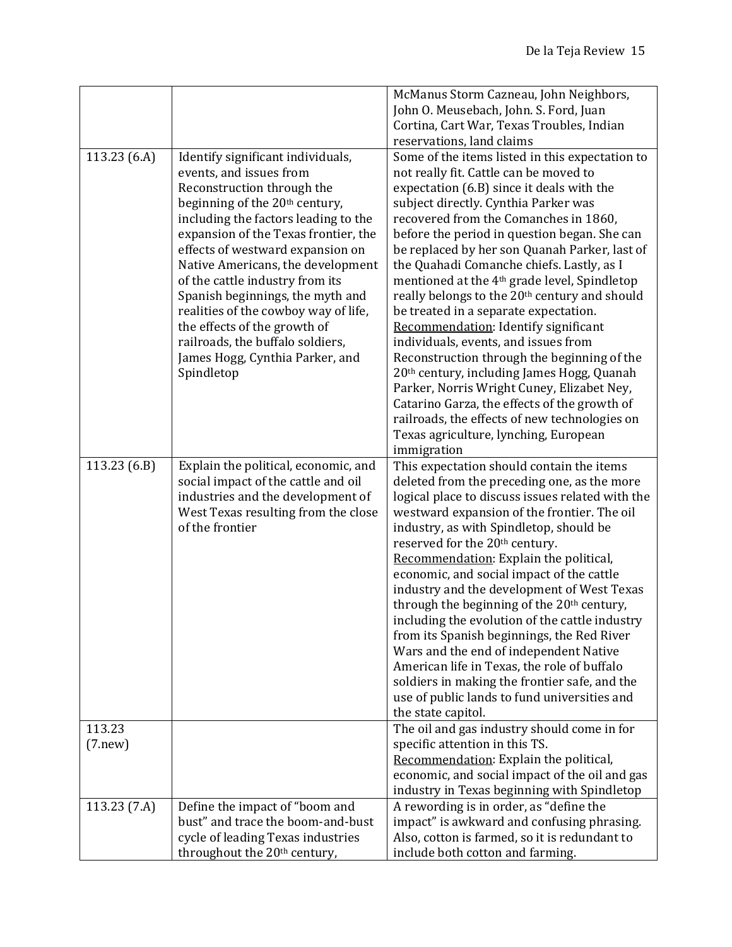|              |                                                                             | McManus Storm Cazneau, John Neighbors,                                                          |
|--------------|-----------------------------------------------------------------------------|-------------------------------------------------------------------------------------------------|
|              |                                                                             | John O. Meusebach, John. S. Ford, Juan                                                          |
|              |                                                                             | Cortina, Cart War, Texas Troubles, Indian                                                       |
|              |                                                                             | reservations, land claims                                                                       |
| 113.23 (6.A) | Identify significant individuals,                                           | Some of the items listed in this expectation to                                                 |
|              | events, and issues from                                                     | not really fit. Cattle can be moved to                                                          |
|              | Reconstruction through the                                                  | expectation (6.B) since it deals with the                                                       |
|              | beginning of the 20 <sup>th</sup> century,                                  | subject directly. Cynthia Parker was                                                            |
|              | including the factors leading to the                                        | recovered from the Comanches in 1860,                                                           |
|              | expansion of the Texas frontier, the                                        | before the period in question began. She can                                                    |
|              | effects of westward expansion on                                            | be replaced by her son Quanah Parker, last of                                                   |
|              |                                                                             |                                                                                                 |
|              | Native Americans, the development                                           | the Quahadi Comanche chiefs. Lastly, as I                                                       |
|              | of the cattle industry from its                                             | mentioned at the 4 <sup>th</sup> grade level, Spindletop                                        |
|              | Spanish beginnings, the myth and                                            | really belongs to the 20th century and should                                                   |
|              | realities of the cowboy way of life,                                        | be treated in a separate expectation.                                                           |
|              | the effects of the growth of                                                | Recommendation: Identify significant                                                            |
|              | railroads, the buffalo soldiers,                                            | individuals, events, and issues from                                                            |
|              | James Hogg, Cynthia Parker, and                                             | Reconstruction through the beginning of the                                                     |
|              | Spindletop                                                                  | 20th century, including James Hogg, Quanah                                                      |
|              |                                                                             | Parker, Norris Wright Cuney, Elizabet Ney,<br>Catarino Garza, the effects of the growth of      |
|              |                                                                             | railroads, the effects of new technologies on                                                   |
|              |                                                                             |                                                                                                 |
|              |                                                                             | Texas agriculture, lynching, European                                                           |
|              |                                                                             | immigration                                                                                     |
| 113.23(6.B)  | Explain the political, economic, and<br>social impact of the cattle and oil | This expectation should contain the items                                                       |
|              | industries and the development of                                           | deleted from the preceding one, as the more<br>logical place to discuss issues related with the |
|              | West Texas resulting from the close                                         | westward expansion of the frontier. The oil                                                     |
|              | of the frontier                                                             | industry, as with Spindletop, should be                                                         |
|              |                                                                             | reserved for the 20th century.                                                                  |
|              |                                                                             | Recommendation: Explain the political,                                                          |
|              |                                                                             | economic, and social impact of the cattle                                                       |
|              |                                                                             | industry and the development of West Texas                                                      |
|              |                                                                             | through the beginning of the 20 <sup>th</sup> century,                                          |
|              |                                                                             | including the evolution of the cattle industry                                                  |
|              |                                                                             | from its Spanish beginnings, the Red River                                                      |
|              |                                                                             | Wars and the end of independent Native                                                          |
|              |                                                                             | American life in Texas, the role of buffalo                                                     |
|              |                                                                             | soldiers in making the frontier safe, and the                                                   |
|              |                                                                             | use of public lands to fund universities and                                                    |
|              |                                                                             | the state capitol.                                                                              |
| 113.23       |                                                                             | The oil and gas industry should come in for                                                     |
| (7. new)     |                                                                             | specific attention in this TS.                                                                  |
|              |                                                                             | Recommendation: Explain the political,                                                          |
|              |                                                                             | economic, and social impact of the oil and gas                                                  |
|              |                                                                             | industry in Texas beginning with Spindletop                                                     |
| 113.23(7.A)  | Define the impact of "boom and                                              | A rewording is in order, as "define the                                                         |
|              | bust" and trace the boom-and-bust                                           | impact" is awkward and confusing phrasing.                                                      |
|              | cycle of leading Texas industries                                           | Also, cotton is farmed, so it is redundant to                                                   |
|              | throughout the 20th century,                                                | include both cotton and farming.                                                                |
|              |                                                                             |                                                                                                 |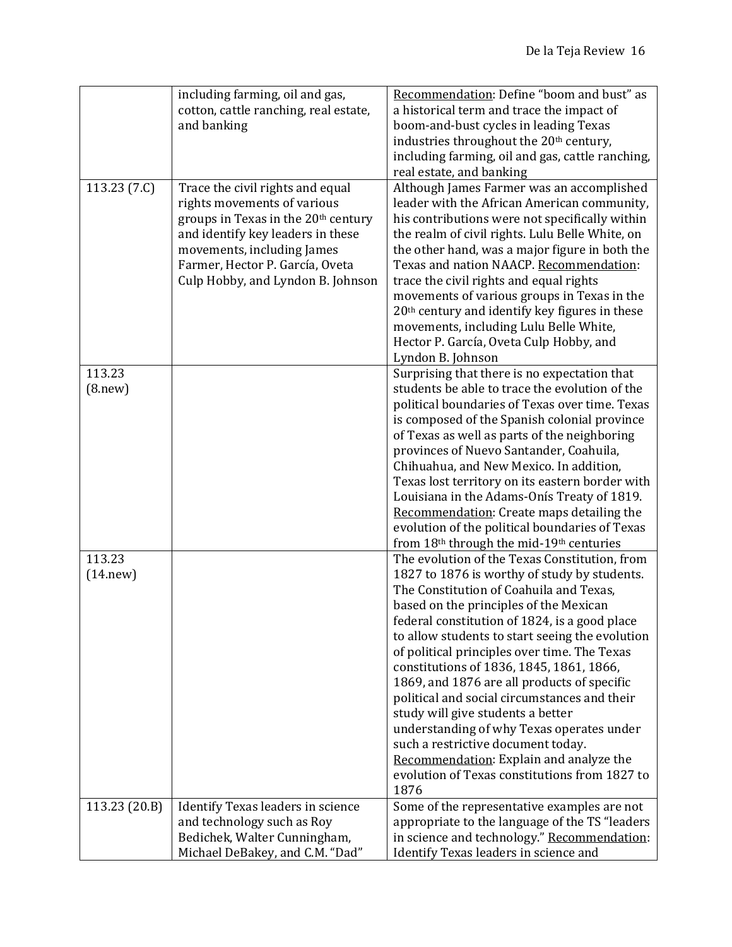|               | including farming, oil and gas,       | Recommendation: Define "boom and bust" as                  |
|---------------|---------------------------------------|------------------------------------------------------------|
|               | cotton, cattle ranching, real estate, | a historical term and trace the impact of                  |
|               | and banking                           | boom-and-bust cycles in leading Texas                      |
|               |                                       | industries throughout the 20 <sup>th</sup> century,        |
|               |                                       | including farming, oil and gas, cattle ranching,           |
|               |                                       | real estate, and banking                                   |
| 113.23(7.C)   | Trace the civil rights and equal      | Although James Farmer was an accomplished                  |
|               | rights movements of various           | leader with the African American community,                |
|               | groups in Texas in the 20th century   | his contributions were not specifically within             |
|               | and identify key leaders in these     | the realm of civil rights. Lulu Belle White, on            |
|               | movements, including James            | the other hand, was a major figure in both the             |
|               | Farmer, Hector P. García, Oveta       | Texas and nation NAACP. Recommendation:                    |
|               | Culp Hobby, and Lyndon B. Johnson     | trace the civil rights and equal rights                    |
|               |                                       | movements of various groups in Texas in the                |
|               |                                       | 20 <sup>th</sup> century and identify key figures in these |
|               |                                       | movements, including Lulu Belle White,                     |
|               |                                       | Hector P. García, Oveta Culp Hobby, and                    |
|               |                                       | Lyndon B. Johnson                                          |
| 113.23        |                                       | Surprising that there is no expectation that               |
| (8. new)      |                                       | students be able to trace the evolution of the             |
|               |                                       | political boundaries of Texas over time. Texas             |
|               |                                       | is composed of the Spanish colonial province               |
|               |                                       | of Texas as well as parts of the neighboring               |
|               |                                       | provinces of Nuevo Santander, Coahuila,                    |
|               |                                       | Chihuahua, and New Mexico. In addition,                    |
|               |                                       | Texas lost territory on its eastern border with            |
|               |                                       | Louisiana in the Adams-Onís Treaty of 1819.                |
|               |                                       | Recommendation: Create maps detailing the                  |
|               |                                       | evolution of the political boundaries of Texas             |
|               |                                       | from 18th through the mid-19th centuries                   |
| 113.23        |                                       | The evolution of the Texas Constitution, from              |
| (14. new)     |                                       | 1827 to 1876 is worthy of study by students.               |
|               |                                       | The Constitution of Coahuila and Texas,                    |
|               |                                       | based on the principles of the Mexican                     |
|               |                                       | federal constitution of 1824, is a good place              |
|               |                                       | to allow students to start seeing the evolution            |
|               |                                       | of political principles over time. The Texas               |
|               |                                       | constitutions of 1836, 1845, 1861, 1866,                   |
|               |                                       | 1869, and 1876 are all products of specific                |
|               |                                       | political and social circumstances and their               |
|               |                                       | study will give students a better                          |
|               |                                       | understanding of why Texas operates under                  |
|               |                                       | such a restrictive document today.                         |
|               |                                       | Recommendation: Explain and analyze the                    |
|               |                                       | evolution of Texas constitutions from 1827 to              |
|               |                                       | 1876                                                       |
| 113.23 (20.B) | Identify Texas leaders in science     | Some of the representative examples are not                |
|               | and technology such as Roy            | appropriate to the language of the TS "leaders"            |
|               | Bedichek, Walter Cunningham,          | in science and technology." Recommendation:                |
|               | Michael DeBakey, and C.M. "Dad"       | Identify Texas leaders in science and                      |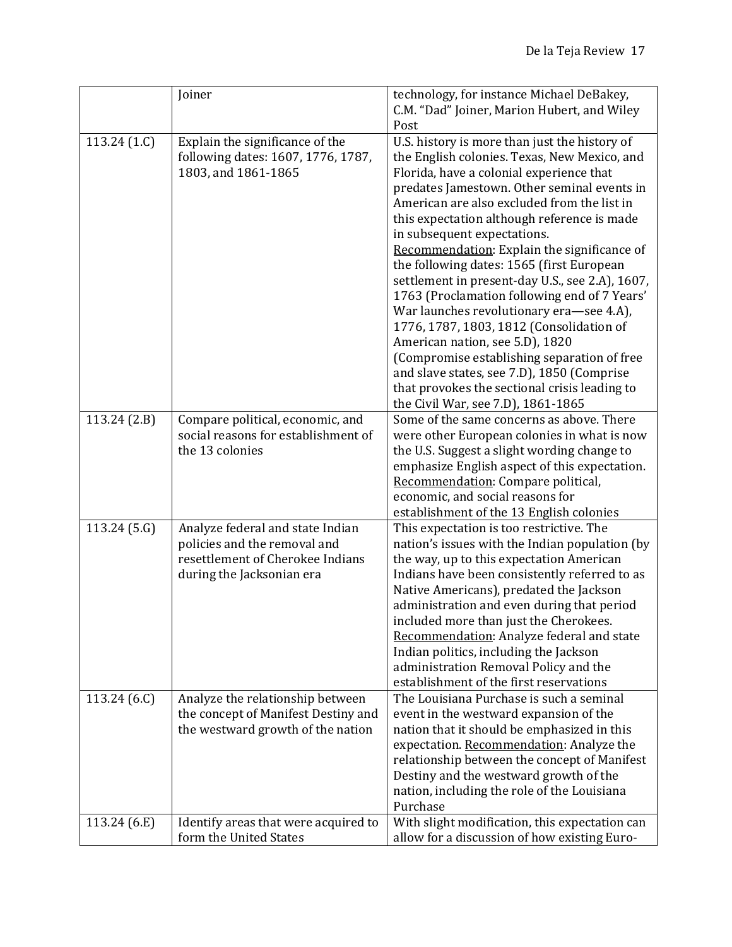|                | Joiner                                                         | technology, for instance Michael DeBakey,                                                      |
|----------------|----------------------------------------------------------------|------------------------------------------------------------------------------------------------|
|                |                                                                | C.M. "Dad" Joiner, Marion Hubert, and Wiley                                                    |
| 113.24 $(1.C)$ | Explain the significance of the                                | Post<br>U.S. history is more than just the history of                                          |
|                | following dates: 1607, 1776, 1787,                             | the English colonies. Texas, New Mexico, and                                                   |
|                | 1803, and 1861-1865                                            | Florida, have a colonial experience that                                                       |
|                |                                                                | predates Jamestown. Other seminal events in                                                    |
|                |                                                                | American are also excluded from the list in                                                    |
|                |                                                                | this expectation although reference is made                                                    |
|                |                                                                | in subsequent expectations.                                                                    |
|                |                                                                | Recommendation: Explain the significance of                                                    |
|                |                                                                | the following dates: 1565 (first European                                                      |
|                |                                                                | settlement in present-day U.S., see 2.A), 1607,                                                |
|                |                                                                | 1763 (Proclamation following end of 7 Years'                                                   |
|                |                                                                | War launches revolutionary era-see 4.A),                                                       |
|                |                                                                | 1776, 1787, 1803, 1812 (Consolidation of                                                       |
|                |                                                                | American nation, see 5.D), 1820<br>(Compromise establishing separation of free                 |
|                |                                                                | and slave states, see 7.D), 1850 (Comprise                                                     |
|                |                                                                | that provokes the sectional crisis leading to                                                  |
|                |                                                                | the Civil War, see 7.D), 1861-1865                                                             |
| 113.24(2.B)    | Compare political, economic, and                               | Some of the same concerns as above. There                                                      |
|                | social reasons for establishment of                            | were other European colonies in what is now                                                    |
|                | the 13 colonies                                                | the U.S. Suggest a slight wording change to                                                    |
|                |                                                                | emphasize English aspect of this expectation.                                                  |
|                |                                                                | Recommendation: Compare political,                                                             |
|                |                                                                | economic, and social reasons for                                                               |
| 113.24 (5.G)   | Analyze federal and state Indian                               | establishment of the 13 English colonies<br>This expectation is too restrictive. The           |
|                | policies and the removal and                                   | nation's issues with the Indian population (by                                                 |
|                | resettlement of Cherokee Indians                               | the way, up to this expectation American                                                       |
|                | during the Jacksonian era                                      | Indians have been consistently referred to as                                                  |
|                |                                                                | Native Americans), predated the Jackson                                                        |
|                |                                                                | administration and even during that period                                                     |
|                |                                                                | included more than just the Cherokees.                                                         |
|                |                                                                | Recommendation: Analyze federal and state                                                      |
|                |                                                                | Indian politics, including the Jackson<br>administration Removal Policy and the                |
|                |                                                                | establishment of the first reservations                                                        |
| 113.24 (6.C)   | Analyze the relationship between                               | The Louisiana Purchase is such a seminal                                                       |
|                | the concept of Manifest Destiny and                            | event in the westward expansion of the                                                         |
|                | the westward growth of the nation                              | nation that it should be emphasized in this                                                    |
|                |                                                                | expectation. Recommendation: Analyze the                                                       |
|                |                                                                | relationship between the concept of Manifest                                                   |
|                |                                                                | Destiny and the westward growth of the                                                         |
|                |                                                                | nation, including the role of the Louisiana                                                    |
|                |                                                                | Purchase                                                                                       |
| 113.24 (6.E)   | Identify areas that were acquired to<br>form the United States | With slight modification, this expectation can<br>allow for a discussion of how existing Euro- |
|                |                                                                |                                                                                                |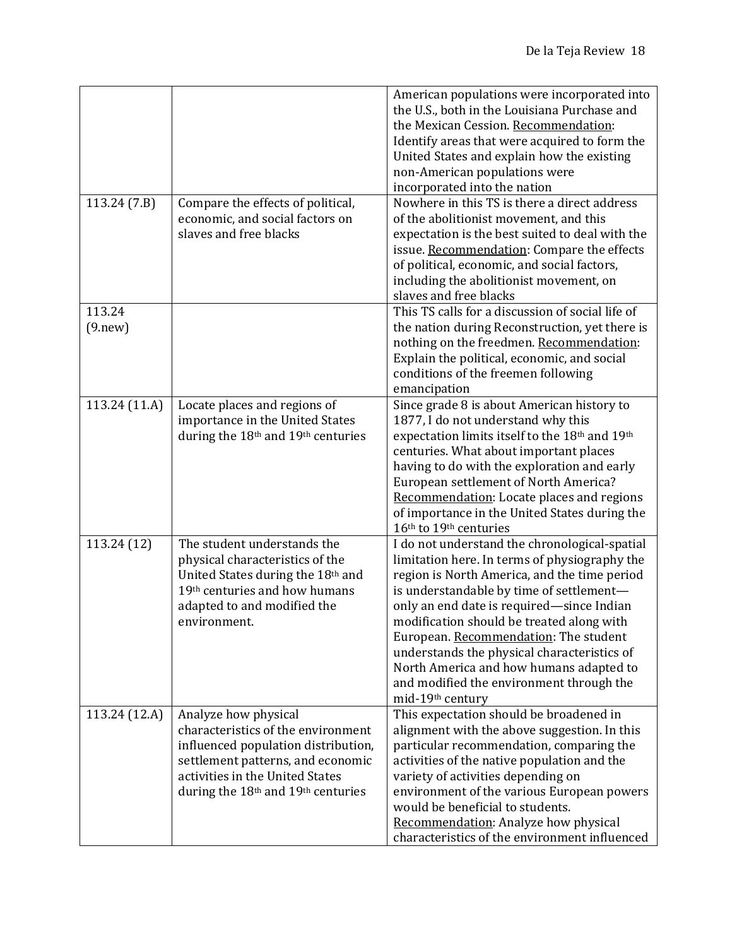| 113.24 (7.B)       | Compare the effects of political,<br>economic, and social factors on<br>slaves and free blacks                                                                                                                                          | American populations were incorporated into<br>the U.S., both in the Louisiana Purchase and<br>the Mexican Cession. Recommendation:<br>Identify areas that were acquired to form the<br>United States and explain how the existing<br>non-American populations were<br>incorporated into the nation<br>Nowhere in this TS is there a direct address<br>of the abolitionist movement, and this<br>expectation is the best suited to deal with the<br>issue. Recommendation: Compare the effects |
|--------------------|-----------------------------------------------------------------------------------------------------------------------------------------------------------------------------------------------------------------------------------------|------------------------------------------------------------------------------------------------------------------------------------------------------------------------------------------------------------------------------------------------------------------------------------------------------------------------------------------------------------------------------------------------------------------------------------------------------------------------------------------------|
|                    |                                                                                                                                                                                                                                         | of political, economic, and social factors,<br>including the abolitionist movement, on<br>slaves and free blacks                                                                                                                                                                                                                                                                                                                                                                               |
| 113.24<br>(9. new) |                                                                                                                                                                                                                                         | This TS calls for a discussion of social life of<br>the nation during Reconstruction, yet there is<br>nothing on the freedmen. Recommendation:<br>Explain the political, economic, and social<br>conditions of the freemen following<br>emancipation                                                                                                                                                                                                                                           |
| 113.24 (11.A)      | Locate places and regions of<br>importance in the United States<br>during the 18 <sup>th</sup> and 19 <sup>th</sup> centuries                                                                                                           | Since grade 8 is about American history to<br>1877, I do not understand why this<br>expectation limits itself to the 18th and 19th<br>centuries. What about important places<br>having to do with the exploration and early<br>European settlement of North America?<br>Recommendation: Locate places and regions<br>of importance in the United States during the<br>16th to 19th centuries                                                                                                   |
| 113.24 (12)        | The student understands the<br>physical characteristics of the<br>United States during the 18th and<br>19th centuries and how humans<br>adapted to and modified the<br>environment.                                                     | I do not understand the chronological-spatial<br>limitation here. In terms of physiography the<br>region is North America, and the time period<br>is understandable by time of settlement-<br>only an end date is required-since Indian<br>modification should be treated along with<br>European. Recommendation: The student<br>understands the physical characteristics of<br>North America and how humans adapted to<br>and modified the environment through the<br>mid-19th century        |
| 113.24 (12.A)      | Analyze how physical<br>characteristics of the environment<br>influenced population distribution,<br>settlement patterns, and economic<br>activities in the United States<br>during the 18 <sup>th</sup> and 19 <sup>th</sup> centuries | This expectation should be broadened in<br>alignment with the above suggestion. In this<br>particular recommendation, comparing the<br>activities of the native population and the<br>variety of activities depending on<br>environment of the various European powers<br>would be beneficial to students.<br>Recommendation: Analyze how physical<br>characteristics of the environment influenced                                                                                            |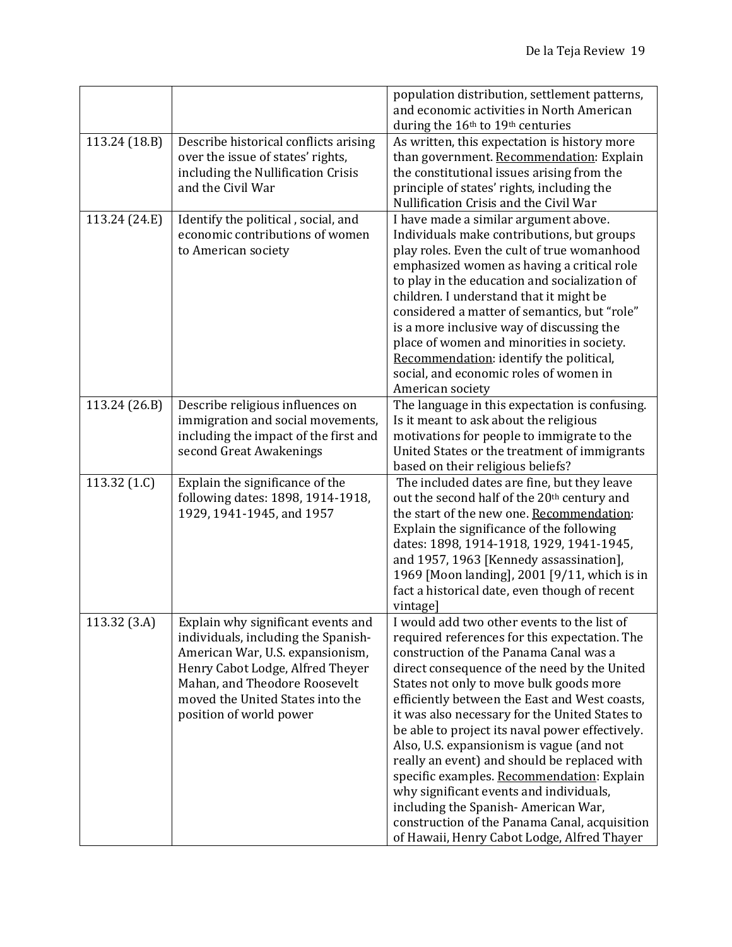|                         |                                                                                                                                                                                                                                                   | population distribution, settlement patterns,<br>and economic activities in North American<br>during the 16th to 19th centuries                                                                                                                                                                                                                                                                                                                                                                                                                                                                                                                                                                                      |
|-------------------------|---------------------------------------------------------------------------------------------------------------------------------------------------------------------------------------------------------------------------------------------------|----------------------------------------------------------------------------------------------------------------------------------------------------------------------------------------------------------------------------------------------------------------------------------------------------------------------------------------------------------------------------------------------------------------------------------------------------------------------------------------------------------------------------------------------------------------------------------------------------------------------------------------------------------------------------------------------------------------------|
| 113.24 (18.B)           | Describe historical conflicts arising<br>over the issue of states' rights,<br>including the Nullification Crisis<br>and the Civil War                                                                                                             | As written, this expectation is history more<br>than government. Recommendation: Explain<br>the constitutional issues arising from the<br>principle of states' rights, including the<br>Nullification Crisis and the Civil War                                                                                                                                                                                                                                                                                                                                                                                                                                                                                       |
| 113.24 (24.E)           | Identify the political, social, and<br>economic contributions of women<br>to American society                                                                                                                                                     | I have made a similar argument above.<br>Individuals make contributions, but groups<br>play roles. Even the cult of true womanhood<br>emphasized women as having a critical role<br>to play in the education and socialization of<br>children. I understand that it might be<br>considered a matter of semantics, but "role"<br>is a more inclusive way of discussing the<br>place of women and minorities in society.<br>Recommendation: identify the political,<br>social, and economic roles of women in<br>American society                                                                                                                                                                                      |
| 113.24 (26.B)           | Describe religious influences on<br>immigration and social movements,<br>including the impact of the first and<br>second Great Awakenings                                                                                                         | The language in this expectation is confusing.<br>Is it meant to ask about the religious<br>motivations for people to immigrate to the<br>United States or the treatment of immigrants<br>based on their religious beliefs?                                                                                                                                                                                                                                                                                                                                                                                                                                                                                          |
| 113.32 $(1.C)$          | Explain the significance of the<br>following dates: 1898, 1914-1918,<br>1929, 1941-1945, and 1957                                                                                                                                                 | The included dates are fine, but they leave<br>out the second half of the 20th century and<br>the start of the new one. Recommendation:<br>Explain the significance of the following<br>dates: 1898, 1914-1918, 1929, 1941-1945,<br>and 1957, 1963 [Kennedy assassination],<br>1969 [Moon landing], 2001 [9/11, which is in<br>fact a historical date, even though of recent<br>vintage]                                                                                                                                                                                                                                                                                                                             |
| 113.32 <sub>(3.A)</sub> | Explain why significant events and<br>individuals, including the Spanish-<br>American War, U.S. expansionism,<br>Henry Cabot Lodge, Alfred Theyer<br>Mahan, and Theodore Roosevelt<br>moved the United States into the<br>position of world power | I would add two other events to the list of<br>required references for this expectation. The<br>construction of the Panama Canal was a<br>direct consequence of the need by the United<br>States not only to move bulk goods more<br>efficiently between the East and West coasts,<br>it was also necessary for the United States to<br>be able to project its naval power effectively.<br>Also, U.S. expansionism is vague (and not<br>really an event) and should be replaced with<br>specific examples. Recommendation: Explain<br>why significant events and individuals,<br>including the Spanish-American War,<br>construction of the Panama Canal, acquisition<br>of Hawaii, Henry Cabot Lodge, Alfred Thayer |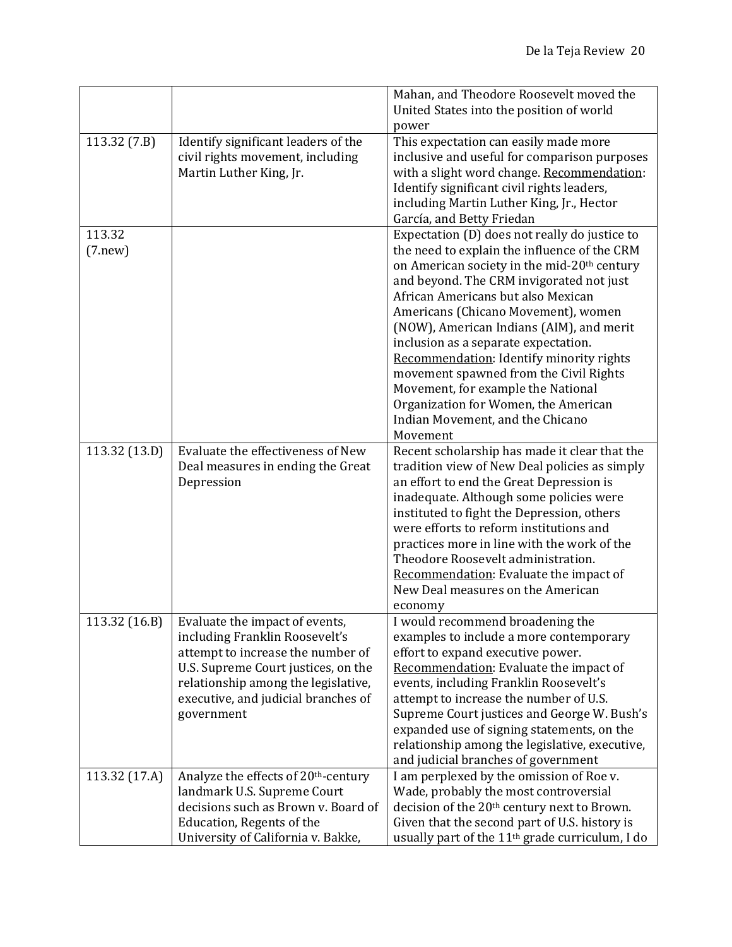| Mahan, and Theodore Roosevelt moved the                                                                                                                                      |  |
|------------------------------------------------------------------------------------------------------------------------------------------------------------------------------|--|
| United States into the position of world                                                                                                                                     |  |
| power                                                                                                                                                                        |  |
| Identify significant leaders of the<br>This expectation can easily made more<br>113.32 (7.B)                                                                                 |  |
| civil rights movement, including<br>inclusive and useful for comparison purposes                                                                                             |  |
| Martin Luther King, Jr.<br>with a slight word change. Recommendation:                                                                                                        |  |
| Identify significant civil rights leaders,                                                                                                                                   |  |
| including Martin Luther King, Jr., Hector                                                                                                                                    |  |
| García, and Betty Friedan                                                                                                                                                    |  |
| 113.32                                                                                                                                                                       |  |
| Expectation (D) does not really do justice to                                                                                                                                |  |
| the need to explain the influence of the CRM<br>(7. new)                                                                                                                     |  |
| on American society in the mid-20 <sup>th</sup> century                                                                                                                      |  |
| and beyond. The CRM invigorated not just                                                                                                                                     |  |
| African Americans but also Mexican                                                                                                                                           |  |
| Americans (Chicano Movement), women                                                                                                                                          |  |
| (NOW), American Indians (AIM), and merit                                                                                                                                     |  |
| inclusion as a separate expectation.                                                                                                                                         |  |
| Recommendation: Identify minority rights                                                                                                                                     |  |
| movement spawned from the Civil Rights                                                                                                                                       |  |
| Movement, for example the National                                                                                                                                           |  |
| Organization for Women, the American                                                                                                                                         |  |
| Indian Movement, and the Chicano                                                                                                                                             |  |
| Movement                                                                                                                                                                     |  |
| 113.32 (13.D)<br>Evaluate the effectiveness of New<br>Recent scholarship has made it clear that the                                                                          |  |
| tradition view of New Deal policies as simply<br>Deal measures in ending the Great                                                                                           |  |
| an effort to end the Great Depression is<br>Depression                                                                                                                       |  |
| inadequate. Although some policies were                                                                                                                                      |  |
| instituted to fight the Depression, others                                                                                                                                   |  |
| were efforts to reform institutions and                                                                                                                                      |  |
| practices more in line with the work of the                                                                                                                                  |  |
| Theodore Roosevelt administration.                                                                                                                                           |  |
| Recommendation: Evaluate the impact of                                                                                                                                       |  |
| New Deal measures on the American                                                                                                                                            |  |
| economy                                                                                                                                                                      |  |
| I would recommend broadening the<br>113.32 (16.B)<br>Evaluate the impact of events,                                                                                          |  |
| including Franklin Roosevelt's<br>examples to include a more contemporary                                                                                                    |  |
| attempt to increase the number of<br>effort to expand executive power.                                                                                                       |  |
| Recommendation: Evaluate the impact of<br>U.S. Supreme Court justices, on the                                                                                                |  |
| relationship among the legislative,<br>events, including Franklin Roosevelt's                                                                                                |  |
| attempt to increase the number of U.S.<br>executive, and judicial branches of                                                                                                |  |
| Supreme Court justices and George W. Bush's<br>government                                                                                                                    |  |
| expanded use of signing statements, on the                                                                                                                                   |  |
| relationship among the legislative, executive,                                                                                                                               |  |
| and judicial branches of government                                                                                                                                          |  |
|                                                                                                                                                                              |  |
|                                                                                                                                                                              |  |
| 113.32 (17.A)<br>Analyze the effects of 20 <sup>th</sup> -century<br>I am perplexed by the omission of Roe v.                                                                |  |
| landmark U.S. Supreme Court<br>Wade, probably the most controversial                                                                                                         |  |
| decisions such as Brown v. Board of<br>decision of the 20 <sup>th</sup> century next to Brown.<br>Given that the second part of U.S. history is<br>Education, Regents of the |  |